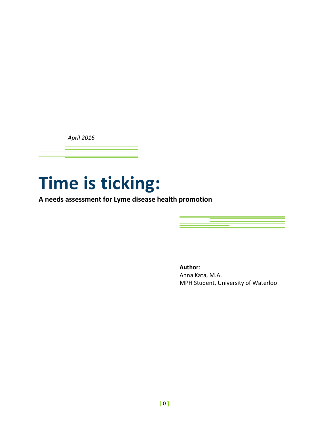*April 2016*

# **Time is ticking:**

**A needs assessment for Lyme disease health promotion**

**Author**: Anna Kata, M.A. MPH Student, University of Waterloo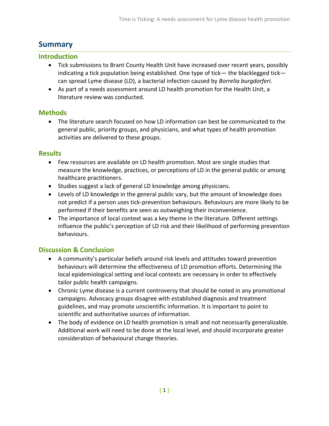# **Summary**

# **Introduction**

- Tick submissions to Brant County Health Unit have increased over recent years, possibly indicating a tick population being established. One type of tick— the blacklegged tick can spread Lyme disease (LD), a bacterial infection caused by *Borrelia burgdorferi*.
- As part of a needs assessment around LD health promotion for the Health Unit, a literature review was conducted.

# **Methods**

 The literature search focused on how LD information can best be communicated to the general public, priority groups, and physicians, and what types of health promotion activities are delivered to these groups.

# **Results**

- Few resources are available on LD health promotion. Most are single studies that measure the knowledge, practices, or perceptions of LD in the general public or among healthcare practitioners.
- Studies suggest a lack of general LD knowledge among physicians.
- Levels of LD knowledge in the general public vary, but the amount of knowledge does not predict if a person uses tick-prevention behaviours. Behaviours are more likely to be performed if their benefits are seen as outweighing their inconvenience.
- The importance of local context was a key theme in the literature. Different settings influence the public's perception of LD risk and their likelihood of performing prevention behaviours.

# **Discussion & Conclusion**

- A community's particular beliefs around risk levels and attitudes toward prevention behaviours will determine the effectiveness of LD promotion efforts. Determining the local epidemiological setting and local contexts are necessary in order to effectively tailor public health campaigns.
- Chronic Lyme disease is a current controversy that should be noted in any promotional campaigns. Advocacy groups disagree with established diagnosis and treatment guidelines, and may promote unscientific information. It is important to point to scientific and authoritative sources of information.
- The body of evidence on LD health promotion is small and not necessarily generalizable. Additional work will need to be done at the local level, and should incorporate greater consideration of behavioural change theories.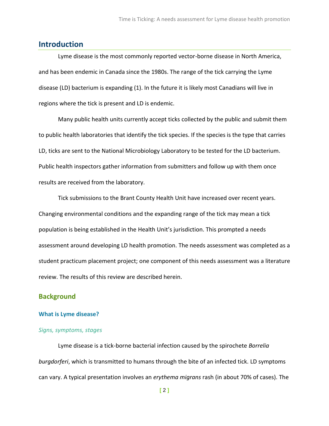# **Introduction**

Lyme disease is the most commonly reported vector-borne disease in North America, and has been endemic in Canada since the 1980s. The range of the tick carrying the Lyme disease (LD) bacterium is expanding (1). In the future it is likely most Canadians will live in regions where the tick is present and LD is endemic.

Many public health units currently accept ticks collected by the public and submit them to public health laboratories that identify the tick species. If the species is the type that carries LD, ticks are sent to the National Microbiology Laboratory to be tested for the LD bacterium. Public health inspectors gather information from submitters and follow up with them once results are received from the laboratory.

Tick submissions to the Brant County Health Unit have increased over recent years. Changing environmental conditions and the expanding range of the tick may mean a tick population is being established in the Health Unit's jurisdiction. This prompted a needs assessment around developing LD health promotion. The needs assessment was completed as a student practicum placement project; one component of this needs assessment was a literature review. The results of this review are described herein.

### **Background**

#### **What is Lyme disease?**

#### *Signs, symptoms, stages*

Lyme disease is a tick-borne bacterial infection caused by the spirochete *Borrelia burgdorferi*, which is transmitted to humans through the bite of an infected tick. LD symptoms can vary. A typical presentation involves an *erythema migrans* rash (in about 70% of cases). The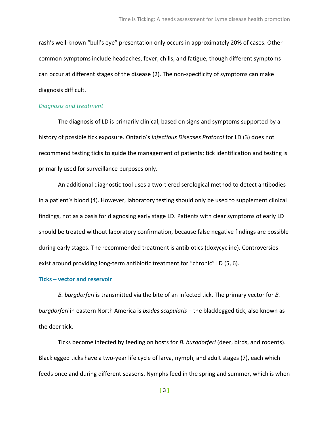rash's well-known "bull's eye" presentation only occurs in approximately 20% of cases. Other common symptoms include headaches, fever, chills, and fatigue, though different symptoms can occur at different stages of the disease (2). The non-specificity of symptoms can make diagnosis difficult.

#### *Diagnosis and treatment*

The diagnosis of LD is primarily clinical, based on signs and symptoms supported by a history of possible tick exposure. Ontario's *Infectious Diseases Protocol* for LD (3) does not recommend testing ticks to guide the management of patients; tick identification and testing is primarily used for surveillance purposes only.

An additional diagnostic tool uses a two-tiered serological method to detect antibodies in a patient's blood (4). However, laboratory testing should only be used to supplement clinical findings, not as a basis for diagnosing early stage LD. Patients with clear symptoms of early LD should be treated without laboratory confirmation, because false negative findings are possible during early stages. The recommended treatment is antibiotics (doxycycline). Controversies exist around providing long-term antibiotic treatment for "chronic" LD (5, 6).

#### **Ticks – vector and reservoir**

*B. burgdorferi* is transmitted via the bite of an infected tick. The primary vector for *B. burgdorferi* in eastern North America is *Ixodes scapularis* – the blacklegged tick, also known as the deer tick.

Ticks become infected by feeding on hosts for *B. burgdorferi* (deer, birds, and rodents). Blacklegged ticks have a two-year life cycle of larva, nymph, and adult stages (7), each which feeds once and during different seasons. Nymphs feed in the spring and summer, which is when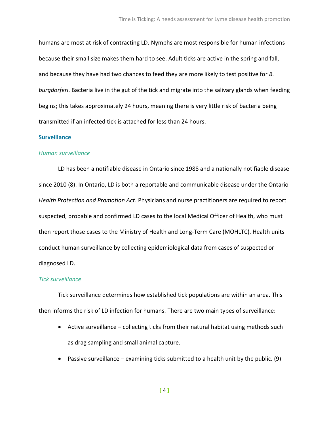humans are most at risk of contracting LD. Nymphs are most responsible for human infections because their small size makes them hard to see. Adult ticks are active in the spring and fall, and because they have had two chances to feed they are more likely to test positive for *B. burgdorferi*. Bacteria live in the gut of the tick and migrate into the salivary glands when feeding begins; this takes approximately 24 hours, meaning there is very little risk of bacteria being transmitted if an infected tick is attached for less than 24 hours.

#### **Surveillance**

#### *Human surveillance*

LD has been a notifiable disease in Ontario since 1988 and a nationally notifiable disease since 2010 (8). In Ontario, LD is both a reportable and communicable disease under the Ontario *Health Protection and Promotion Act*. Physicians and nurse practitioners are required to report suspected, probable and confirmed LD cases to the local Medical Officer of Health, who must then report those cases to the Ministry of Health and Long-Term Care (MOHLTC). Health units conduct human surveillance by collecting epidemiological data from cases of suspected or diagnosed LD.

#### *Tick surveillance*

Tick surveillance determines how established tick populations are within an area. This then informs the risk of LD infection for humans. There are two main types of surveillance:

- Active surveillance collecting ticks from their natural habitat using methods such as drag sampling and small animal capture.
- **•** Passive surveillance examining ticks submitted to a health unit by the public.  $(9)$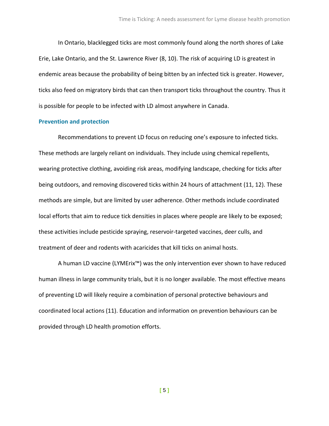In Ontario, blacklegged ticks are most commonly found along the north shores of Lake Erie, Lake Ontario, and the St. Lawrence River (8, 10). The risk of acquiring LD is greatest in endemic areas because the probability of being bitten by an infected tick is greater. However, ticks also feed on migratory birds that can then transport ticks throughout the country. Thus it is possible for people to be infected with LD almost anywhere in Canada.

#### **Prevention and protection**

Recommendations to prevent LD focus on reducing one's exposure to infected ticks. These methods are largely reliant on individuals. They include using chemical repellents, wearing protective clothing, avoiding risk areas, modifying landscape, checking for ticks after being outdoors, and removing discovered ticks within 24 hours of attachment (11, 12). These methods are simple, but are limited by user adherence. Other methods include coordinated local efforts that aim to reduce tick densities in places where people are likely to be exposed; these activities include pesticide spraying, reservoir-targeted vaccines, deer culls, and treatment of deer and rodents with acaricides that kill ticks on animal hosts.

A human LD vaccine (LYMErix™) was the only intervention ever shown to have reduced human illness in large community trials, but it is no longer available. The most effective means of preventing LD will likely require a combination of personal protective behaviours and coordinated local actions (11). Education and information on prevention behaviours can be provided through LD health promotion efforts.

**[** 5 **]**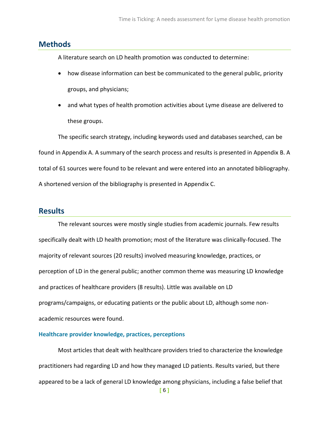# **Methods**

A literature search on LD health promotion was conducted to determine:

- how disease information can best be communicated to the general public, priority groups, and physicians;
- and what types of health promotion activities about Lyme disease are delivered to these groups.

The specific search strategy, including keywords used and databases searched, can be found in Appendix A. A summary of the search process and results is presented in Appendix B. A total of 61 sources were found to be relevant and were entered into an annotated bibliography. A shortened version of the bibliography is presented in Appendix C.

# **Results**

The relevant sources were mostly single studies from academic journals. Few results specifically dealt with LD health promotion; most of the literature was clinically-focused. The majority of relevant sources (20 results) involved measuring knowledge, practices, or perception of LD in the general public; another common theme was measuring LD knowledge and practices of healthcare providers (8 results). Little was available on LD programs/campaigns, or educating patients or the public about LD, although some nonacademic resources were found.

#### **Healthcare provider knowledge, practices, perceptions**

Most articles that dealt with healthcare providers tried to characterize the knowledge practitioners had regarding LD and how they managed LD patients. Results varied, but there appeared to be a lack of general LD knowledge among physicians, including a false belief that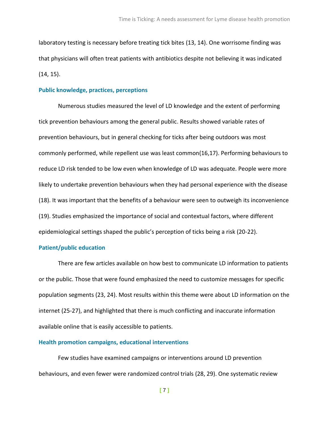laboratory testing is necessary before treating tick bites (13, 14). One worrisome finding was that physicians will often treat patients with antibiotics despite not believing it was indicated (14, 15).

#### **Public knowledge, practices, perceptions**

Numerous studies measured the level of LD knowledge and the extent of performing tick prevention behaviours among the general public. Results showed variable rates of prevention behaviours, but in general checking for ticks after being outdoors was most commonly performed, while repellent use was least common(16,17). Performing behaviours to reduce LD risk tended to be low even when knowledge of LD was adequate. People were more likely to undertake prevention behaviours when they had personal experience with the disease (18). It was important that the benefits of a behaviour were seen to outweigh its inconvenience (19). Studies emphasized the importance of social and contextual factors, where different epidemiological settings shaped the public's perception of ticks being a risk (20-22).

#### **Patient/public education**

There are few articles available on how best to communicate LD information to patients or the public. Those that were found emphasized the need to customize messages for specific population segments (23, 24). Most results within this theme were about LD information on the internet (25-27), and highlighted that there is much conflicting and inaccurate information available online that is easily accessible to patients.

#### **Health promotion campaigns, educational interventions**

Few studies have examined campaigns or interventions around LD prevention behaviours, and even fewer were randomized control trials (28, 29). One systematic review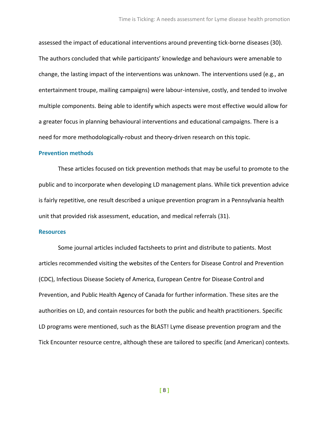assessed the impact of educational interventions around preventing tick-borne diseases (30). The authors concluded that while participants' knowledge and behaviours were amenable to change, the lasting impact of the interventions was unknown. The interventions used (e.g., an entertainment troupe, mailing campaigns) were labour-intensive, costly, and tended to involve multiple components. Being able to identify which aspects were most effective would allow for a greater focus in planning behavioural interventions and educational campaigns. There is a need for more methodologically-robust and theory-driven research on this topic.

#### **Prevention methods**

These articles focused on tick prevention methods that may be useful to promote to the public and to incorporate when developing LD management plans. While tick prevention advice is fairly repetitive, one result described a unique prevention program in a Pennsylvania health unit that provided risk assessment, education, and medical referrals (31).

#### **Resources**

Some journal articles included factsheets to print and distribute to patients. Most articles recommended visiting the websites of the Centers for Disease Control and Prevention (CDC), Infectious Disease Society of America, European Centre for Disease Control and Prevention, and Public Health Agency of Canada for further information. These sites are the authorities on LD, and contain resources for both the public and health practitioners. Specific LD programs were mentioned, such as the BLAST! Lyme disease prevention program and the Tick Encounter resource centre, although these are tailored to specific (and American) contexts.

**[** 8 **]**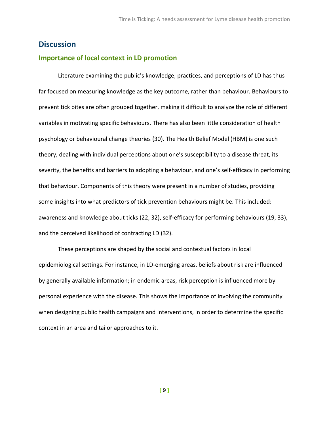### **Discussion**

### **Importance of local context in LD promotion**

Literature examining the public's knowledge, practices, and perceptions of LD has thus far focused on measuring knowledge as the key outcome, rather than behaviour. Behaviours to prevent tick bites are often grouped together, making it difficult to analyze the role of different variables in motivating specific behaviours. There has also been little consideration of health psychology or behavioural change theories (30). The Health Belief Model (HBM) is one such theory, dealing with individual perceptions about one's susceptibility to a disease threat, its severity, the benefits and barriers to adopting a behaviour, and one's self-efficacy in performing that behaviour. Components of this theory were present in a number of studies, providing some insights into what predictors of tick prevention behaviours might be. This included: awareness and knowledge about ticks (22, 32), self-efficacy for performing behaviours (19, 33), and the perceived likelihood of contracting LD (32).

These perceptions are shaped by the social and contextual factors in local epidemiological settings. For instance, in LD-emerging areas, beliefs about risk are influenced by generally available information; in endemic areas, risk perception is influenced more by personal experience with the disease. This shows the importance of involving the community when designing public health campaigns and interventions, in order to determine the specific context in an area and tailor approaches to it.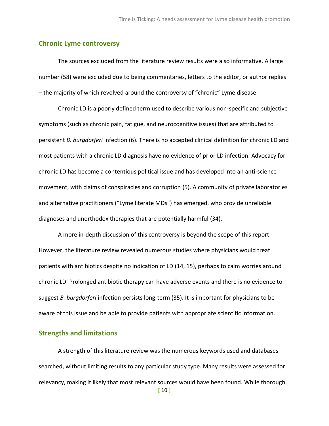#### **Chronic Lyme controversy**

The sources excluded from the literature review results were also informative. A large number (58) were excluded due to being commentaries, letters to the editor, or author replies – the majority of which revolved around the controversy of "chronic" Lyme disease.

Chronic LD is a poorly defined term used to describe various non-specific and subjective symptoms (such as chronic pain, fatigue, and neurocognitive issues) that are attributed to persistent *B. burgdorferi* infection (6). There is no accepted clinical definition for chronic LD and most patients with a chronic LD diagnosis have no evidence of prior LD infection. Advocacy for chronic LD has become a contentious political issue and has developed into an anti-science movement, with claims of conspiracies and corruption (5). A community of private laboratories and alternative practitioners ("Lyme literate MDs") has emerged, who provide unreliable diagnoses and unorthodox therapies that are potentially harmful (34).

A more in-depth discussion of this controversy is beyond the scope of this report. However, the literature review revealed numerous studies where physicians would treat patients with antibiotics despite no indication of LD (14, 15), perhaps to calm worries around chronic LD. Prolonged antibiotic therapy can have adverse events and there is no evidence to suggest *B. burgdorferi* infection persists long-term (35). It is important for physicians to be aware of this issue and be able to provide patients with appropriate scientific information.

### **Strengths and limitations**

A strength of this literature review was the numerous keywords used and databases searched, without limiting results to any particular study type. Many results were assessed for relevancy, making it likely that most relevant sources would have been found. While thorough,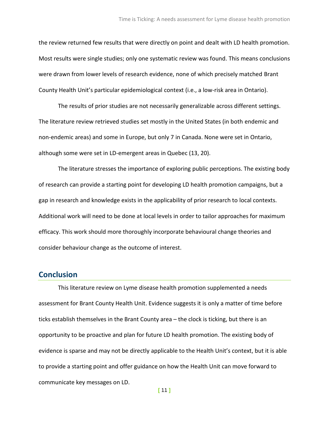the review returned few results that were directly on point and dealt with LD health promotion. Most results were single studies; only one systematic review was found. This means conclusions were drawn from lower levels of research evidence, none of which precisely matched Brant County Health Unit's particular epidemiological context (i.e., a low-risk area in Ontario).

The results of prior studies are not necessarily generalizable across different settings. The literature review retrieved studies set mostly in the United States (in both endemic and non-endemic areas) and some in Europe, but only 7 in Canada. None were set in Ontario, although some were set in LD-emergent areas in Quebec (13, 20).

The literature stresses the importance of exploring public perceptions. The existing body of research can provide a starting point for developing LD health promotion campaigns, but a gap in research and knowledge exists in the applicability of prior research to local contexts. Additional work will need to be done at local levels in order to tailor approaches for maximum efficacy. This work should more thoroughly incorporate behavioural change theories and consider behaviour change as the outcome of interest.

### **Conclusion**

This literature review on Lyme disease health promotion supplemented a needs assessment for Brant County Health Unit. Evidence suggests it is only a matter of time before ticks establish themselves in the Brant County area – the clock is ticking, but there is an opportunity to be proactive and plan for future LD health promotion. The existing body of evidence is sparse and may not be directly applicable to the Health Unit's context, but it is able to provide a starting point and offer guidance on how the Health Unit can move forward to communicate key messages on LD.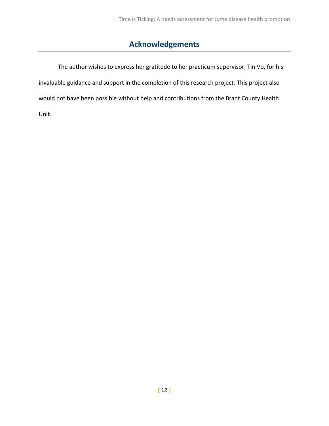# **Acknowledgements**

The author wishes to express her gratitude to her practicum supervisor, Tin Vo, for his invaluable guidance and support in the completion of this research project. This project also would not have been possible without help and contributions from the Brant County Health Unit.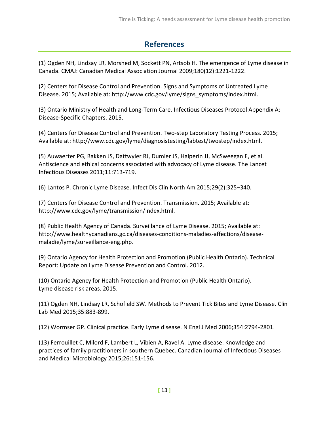# **References**

(1) Ogden NH, Lindsay LR, Morshed M, Sockett PN, Artsob H. The emergence of Lyme disease in Canada. CMAJ: Canadian Medical Association Journal 2009;180(12):1221-1222.

(2) Centers for Disease Control and Prevention. Signs and Symptoms of Untreated Lyme Disease. 2015; Available at: http://www.cdc.gov/lyme/signs\_symptoms/index.html.

(3) Ontario Ministry of Health and Long-Term Care. Infectious Diseases Protocol Appendix A: Disease-Specific Chapters. 2015.

(4) Centers for Disease Control and Prevention. Two-step Laboratory Testing Process. 2015; Available at: http://www.cdc.gov/lyme/diagnosistesting/labtest/twostep/index.html.

(5) Auwaerter PG, Bakken JS, Dattwyler RJ, Dumler JS, Halperin JJ, McSweegan E, et al. Antiscience and ethical concerns associated with advocacy of Lyme disease. The Lancet Infectious Diseases 2011;11:713-719.

(6) Lantos P. Chronic Lyme Disease. Infect Dis Clin North Am 2015;29(2):325–340.

(7) Centers for Disease Control and Prevention. Transmission. 2015; Available at: http://www.cdc.gov/lyme/transmission/index.html.

(8) Public Health Agency of Canada. Surveillance of Lyme Disease. 2015; Available at: http://www.healthycanadians.gc.ca/diseases-conditions-maladies-affections/diseasemaladie/lyme/surveillance-eng.php.

(9) Ontario Agency for Health Protection and Promotion (Public Health Ontario). Technical Report: Update on Lyme Disease Prevention and Control. 2012.

(10) Ontario Agency for Health Protection and Promotion (Public Health Ontario). Lyme disease risk areas. 2015.

(11) Ogden NH, Lindsay LR, Schofield SW. Methods to Prevent Tick Bites and Lyme Disease. Clin Lab Med 2015;35:883-899.

(12) Wormser GP. Clinical practice. Early Lyme disease. N Engl J Med 2006;354:2794-2801.

(13) Ferrouillet C, Milord F, Lambert L, Vibien A, Ravel A. Lyme disease: Knowledge and practices of family practitioners in southern Quebec. Canadian Journal of Infectious Diseases and Medical Microbiology 2015;26:151-156.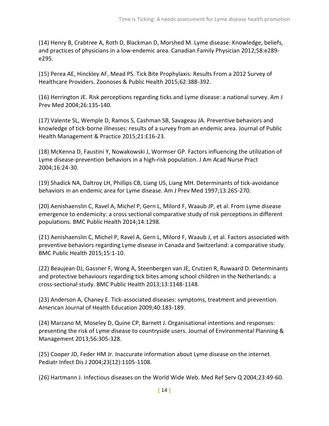(14) Henry B, Crabtree A, Roth D, Blackman D, Morshed M. Lyme disease: Knowledge, beliefs, and practices of physicians in a low-endemic area. Canadian Family Physician 2012;58:e289 e295.

(15) Perea AE, Hinckley AF, Mead PS. Tick Bite Prophylaxis: Results From a 2012 Survey of Healthcare Providers. Zoonoses & Public Health 2015;62:388-392.

(16) Herrington JE. Risk perceptions regarding ticks and Lyme disease: a national survey. Am J Prev Med 2004;26:135-140.

(17) Valente SL, Wemple D, Ramos S, Cashman SB, Savageau JA. Preventive behaviors and knowledge of tick-borne illnesses: results of a survey from an endemic area. Journal of Public Health Management & Practice 2015;21:E16-23.

(18) McKenna D, Faustini Y, Nowakowski J, Wormser GP. Factors influencing the utilization of Lyme disease-prevention behaviors in a high-risk population. J Am Acad Nurse Pract 2004;16:24-30.

(19) Shadick NA, Daltroy LH, Phillips CB, Liang US, Liang MH. Determinants of tick-avoidance behaviors in an endemic area for Lyme disease. Am J Prev Med 1997;13:265-270.

(20) Aenishaenslin C, Ravel A, Michel P, Gern L, Milord F, Waaub JP, et al. From Lyme disease emergence to endemicity: a cross sectional comparative study of risk perceptions in different populations. BMC Public Health 2014;14:1298.

(21) Aenishaenslin C, Michel P, Ravel A, Gern L, Milord F, Waaub J, et al. Factors associated with preventive behaviors regarding Lyme disease in Canada and Switzerland: a comparative study. BMC Public Health 2015;15:1-10.

(22) Beaujean DJ, Gassner F, Wong A, Steenbergen van JE, Crutzen R, Ruwaard D. Determinants and protective behaviours regarding tick bites among school children in the Netherlands: a cross-sectional study. BMC Public Health 2013;13:1148-1148.

(23) Anderson A, Chaney E. Tick-associated diseases: symptoms, treatment and prevention. American Journal of Health Education 2009;40:183-189.

(24) Marzano M, Moseley D, Quine CP, Barnett J. Organisational intentions and responses: presenting the risk of Lyme disease to countryside users. Journal of Environmental Planning & Management 2013;56:305-328.

(25) Cooper JD, Feder HM Jr. Inaccurate information about Lyme disease on the internet. Pediatr Infect Dis J 2004;23(12):1105-1108.

(26) Hartmann J. Infectious diseases on the World Wide Web. Med Ref Serv Q 2004;23:49-60.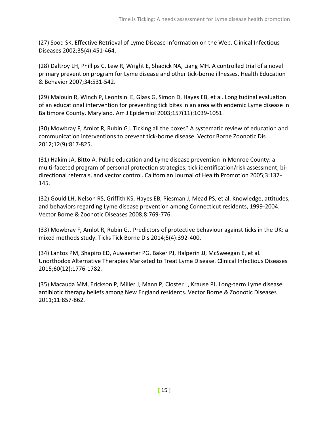(27) Sood SK. Effective Retrieval of Lyme Disease Information on the Web. Clinical Infectious Diseases 2002;35(4):451-464.

(28) Daltroy LH, Phillips C, Lew R, Wright E, Shadick NA, Liang MH. A controlled trial of a novel primary prevention program for Lyme disease and other tick-borne illnesses. Health Education & Behavior 2007;34:531-542.

(29) Malouin R, Winch P, Leontsini E, Glass G, Simon D, Hayes EB, et al. Longitudinal evaluation of an educational intervention for preventing tick bites in an area with endemic Lyme disease in Baltimore County, Maryland. Am J Epidemiol 2003;157(11):1039-1051.

(30) Mowbray F, Amlot R, Rubin GJ. Ticking all the boxes? A systematic review of education and communication interventions to prevent tick-borne disease. Vector Borne Zoonotic Dis 2012;12(9):817-825.

(31) Hakim JA, Bitto A. Public education and Lyme disease prevention in Monroe County: a multi-faceted program of personal protection strategies, tick identification/risk assessment, bidirectional referrals, and vector control. Californian Journal of Health Promotion 2005;3:137- 145.

(32) Gould LH, Nelson RS, Griffith KS, Hayes EB, Piesman J, Mead PS, et al. Knowledge, attitudes, and behaviors regarding Lyme disease prevention among Connecticut residents, 1999-2004. Vector Borne & Zoonotic Diseases 2008;8:769-776.

(33) Mowbray F, Amlot R, Rubin GJ. Predictors of protective behaviour against ticks in the UK: a mixed methods study. Ticks Tick Borne Dis 2014;5(4):392-400.

(34) Lantos PM, Shapiro ED, Auwaerter PG, Baker PJ, Halperin JJ, McSweegan E, et al. Unorthodox Alternative Therapies Marketed to Treat Lyme Disease. Clinical Infectious Diseases 2015;60(12):1776-1782.

(35) Macauda MM, Erickson P, Miller J, Mann P, Closter L, Krause PJ. Long-term Lyme disease antibiotic therapy beliefs among New England residents. Vector Borne & Zoonotic Diseases 2011;11:857-862.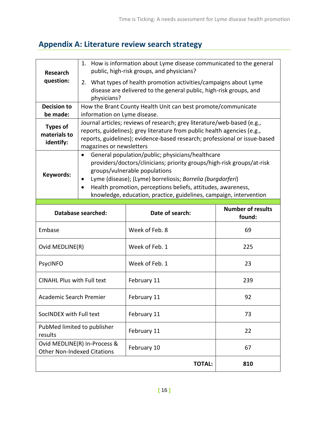# **Appendix A: Literature review search strategy**

| <b>Research</b><br>question:                 | 1. How is information about Lyme disease communicated to the general<br>public, high-risk groups, and physicians?<br>2. What types of health promotion activities/campaigns about Lyme<br>disease are delivered to the general public, high-risk groups, and<br>physicians?                                                                                                                            |                                                                                                                                                                                                                                                               |                          |  |  |
|----------------------------------------------|--------------------------------------------------------------------------------------------------------------------------------------------------------------------------------------------------------------------------------------------------------------------------------------------------------------------------------------------------------------------------------------------------------|---------------------------------------------------------------------------------------------------------------------------------------------------------------------------------------------------------------------------------------------------------------|--------------------------|--|--|
| <b>Decision to</b>                           |                                                                                                                                                                                                                                                                                                                                                                                                        | How the Brant County Health Unit can best promote/communicate                                                                                                                                                                                                 |                          |  |  |
| be made:                                     | information on Lyme disease.                                                                                                                                                                                                                                                                                                                                                                           |                                                                                                                                                                                                                                                               |                          |  |  |
| <b>Types of</b><br>materials to<br>identify: |                                                                                                                                                                                                                                                                                                                                                                                                        | Journal articles; reviews of research; grey literature/web-based (e.g.,<br>reports, guidelines); grey literature from public health agencies (e.g.,<br>reports, guidelines); evidence-based research; professional or issue-based<br>magazines or newsletters |                          |  |  |
| Keywords:                                    | General population/public; physicians/healthcare<br>$\bullet$<br>providers/doctors/clinicians; priority groups/high-risk groups/at-risk<br>groups/vulnerable populations<br>Lyme (disease); (Lyme) borreliosis; Borrelia (burgdorferi)<br>$\bullet$<br>Health promotion, perceptions beliefs, attitudes, awareness,<br>$\bullet$<br>knowledge, education, practice, guidelines, campaign, intervention |                                                                                                                                                                                                                                                               |                          |  |  |
|                                              | Database searched:                                                                                                                                                                                                                                                                                                                                                                                     | Date of search:                                                                                                                                                                                                                                               | <b>Number of results</b> |  |  |
| Embase                                       |                                                                                                                                                                                                                                                                                                                                                                                                        |                                                                                                                                                                                                                                                               |                          |  |  |
|                                              |                                                                                                                                                                                                                                                                                                                                                                                                        | Week of Feb. 8                                                                                                                                                                                                                                                | found:<br>69             |  |  |
| Ovid MEDLINE(R)                              |                                                                                                                                                                                                                                                                                                                                                                                                        | Week of Feb. 1                                                                                                                                                                                                                                                | 225                      |  |  |
| <b>PsycINFO</b>                              |                                                                                                                                                                                                                                                                                                                                                                                                        | Week of Feb. 1                                                                                                                                                                                                                                                | 23                       |  |  |
| <b>CINAHL Plus with Full text</b>            |                                                                                                                                                                                                                                                                                                                                                                                                        | February 11                                                                                                                                                                                                                                                   | 239                      |  |  |
| Academic Search Premier                      |                                                                                                                                                                                                                                                                                                                                                                                                        | February 11                                                                                                                                                                                                                                                   | 92                       |  |  |
| SocINDEX with Full text                      |                                                                                                                                                                                                                                                                                                                                                                                                        | February 11                                                                                                                                                                                                                                                   | 73                       |  |  |
| PubMed limited to publisher<br>results       |                                                                                                                                                                                                                                                                                                                                                                                                        | February 11                                                                                                                                                                                                                                                   | 22                       |  |  |
| <b>Other Non-Indexed Citations</b>           | Ovid MEDLINE(R) In-Process &                                                                                                                                                                                                                                                                                                                                                                           | February 10                                                                                                                                                                                                                                                   | 67                       |  |  |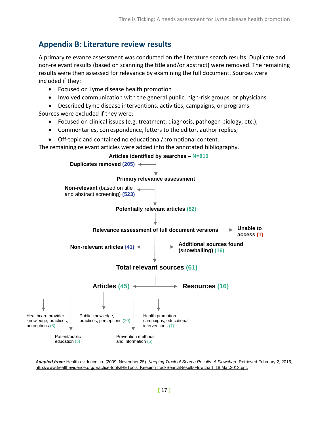# **Appendix B: Literature review results**

A primary relevance assessment was conducted on the literature search results. Duplicate and non-relevant results (based on scanning the title and/or abstract) were removed. The remaining results were then assessed for relevance by examining the full document. Sources were included if they:

- Focused on Lyme disease health promotion
- Involved communication with the general public, high-risk groups, or physicians
- Described Lyme disease interventions, activities, campaigns, or programs

Sources were excluded if they were:

- Focused on clinical issues (e.g. treatment, diagnosis, pathogen biology, etc.);
- Commentaries, correspondence, letters to the editor, author replies;
- Off-topic and contained no educational/promotional content.

The remaining relevant articles were added into the annotated bibliography.



*Adapted from:* Health-evidence.ca. (2009, November 25). *Keeping Track of Search Results: A Flowchart*. Retrieved February 2, 2016, http://www.healthevidence.org/practice-tools/HETools\_KeepingTrackSearchResultsFlowchart\_18.Mar.2013.ppt.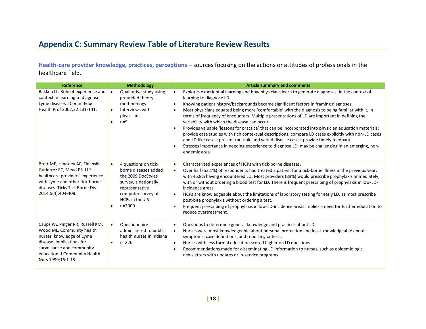# **Appendix C: Summary Review Table of Literature Review Results**

**Health-care provider knowledge, practices, perceptions** – sources focusing on the actions or attitudes of professionals in the healthcare field.

| <b>Reference</b>                                                                                                                                                                                             | <b>Methodology</b>                                                                                                                                                              | <b>Article summary and comments</b>                                                                                                                                                                                                                                                                                                                                                                                                                                                                                                                                                                                                                                                                                                                                                                                                                                                                                                                              |
|--------------------------------------------------------------------------------------------------------------------------------------------------------------------------------------------------------------|---------------------------------------------------------------------------------------------------------------------------------------------------------------------------------|------------------------------------------------------------------------------------------------------------------------------------------------------------------------------------------------------------------------------------------------------------------------------------------------------------------------------------------------------------------------------------------------------------------------------------------------------------------------------------------------------------------------------------------------------------------------------------------------------------------------------------------------------------------------------------------------------------------------------------------------------------------------------------------------------------------------------------------------------------------------------------------------------------------------------------------------------------------|
| Bakken LL. Role of experience and<br>context in learning to diagnose<br>Lyme disease. J Contin Educ<br>Health Prof 2002;22:131-141.                                                                          | Qualitative study using<br>$\bullet$<br>grounded theory<br>methodology<br>Interviews with<br>$\bullet$<br>physicians<br>$n=9$                                                   | Explores experiential learning and how physicians learn to generate diagnoses, in the context of<br>$\bullet$<br>learning to diagnose LD.<br>Knowing patient history/backgrounds became significant factors in framing diagnoses.<br>$\bullet$<br>Most physicians equated being more 'comfortable' with the diagnosis to being familiar with it, in<br>$\bullet$<br>terms of frequency of encounters. Multiple presentations of LD are important in defining the<br>variability with which the disease can occur.<br>Provides valuable 'lessons for practice' that can be incorporated into physician education materials:<br>$\bullet$<br>provide case studies with rich contextual descriptions; compare LD cases explicitly with non-LD cases<br>and LD-like cases; present multiple and varied disease cases; provide timely feedback.<br>Stresses importance in needing experience to diagnose LD; may be challenging in an emerging, non-<br>endemic area. |
| Brett ME, Hinckley AF, Zielinski-<br>Gutierrez EC, Mead PS. U.S.<br>healthcare providers' experience<br>with Lyme and other tick-borne<br>diseases. Ticks Tick Borne Dis<br>2014;5(4):404-408.               | 4 questions on tick-<br>$\bullet$<br>borne diseases added<br>the 2009 DocStyles<br>survey, a nationally<br>representative<br>computer survey of<br>HCPs in the US<br>$n = 2000$ | Characterized experiences of HCPs with tick-borne diseases.<br>$\bullet$<br>Over half (53.1%) of respondents had treated a patient for a tick-borne illness in the previous year,<br>$\bullet$<br>with 46.8% having encountered LD. Most providers (89%) would prescribe prophylaxis immediately,<br>with or without ordering a blood test for LD. There is frequent prescribing of prophylaxis in low-LD-<br>incidence areas.<br>HCPs are knowledgeable about the limitations of laboratory testing for early LD, as most prescribe<br>$\bullet$<br>post-bite prophylaxis without ordering a test.<br>Frequent prescribing of prophylaxis in low-LD-incidence areas implies a need for further education to<br>reduce overtreatment.                                                                                                                                                                                                                            |
| Capps PA, Pinger RR, Russell KM,<br>Wood ML. Community health<br>nurses' knowledge of Lyme<br>disease: implications for<br>surveillance and community<br>education. J Community Health<br>Nurs 1999;16:1-15. | <b>Questionnaire</b><br>$\bullet$<br>administered to public<br>health nurses in Indiana<br>$n = 226$                                                                            | Questions to determine general knowledge and practices about LD.<br>$\bullet$<br>Nurses were most knowledgeable about personal protection and least knowledgeable about<br>$\bullet$<br>symptoms, case definitions, and reporting criteria.<br>Nurses with less formal education scored higher on LD questions.<br>$\bullet$<br>Recommendations made for disseminating LD information to nurses, such as epidemiologic<br>$\bullet$<br>newsletters with updates or in-service programs.                                                                                                                                                                                                                                                                                                                                                                                                                                                                          |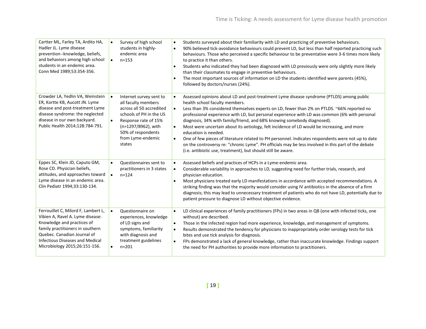| Cartter ML, Farley TA, Ardito HA,<br>Hadler JL. Lyme disease<br>prevention--knowledge, beliefs,<br>and behaviors among high school<br>students in an endemic area.<br>Conn Med 1989;53:354-356.                                                     | $\bullet$<br>$\bullet$ | Survey of high school<br>students in highly-<br>endemic area<br>$n = 153$                                                                                                                                 | $\bullet$<br>$\bullet$<br>$\bullet$              | Students surveyed about their familiarity with LD and practicing of preventive behaviours.<br>90% believed tick-avoidance behaviours could prevent LD, but less than half reported practicing such<br>behaviours. Those who perceived a specific behaviour to be preventative were 3-6 times more likely<br>to practice it than others.<br>Students who indicated they had been diagnosed with LD previously were only slightly more likely<br>than their classmates to engage in preventive behaviours.<br>The most important sources of information on LD the students identified were parents (45%),<br>followed by doctors/nurses (24%).                                                                                                                                                             |
|-----------------------------------------------------------------------------------------------------------------------------------------------------------------------------------------------------------------------------------------------------|------------------------|-----------------------------------------------------------------------------------------------------------------------------------------------------------------------------------------------------------|--------------------------------------------------|----------------------------------------------------------------------------------------------------------------------------------------------------------------------------------------------------------------------------------------------------------------------------------------------------------------------------------------------------------------------------------------------------------------------------------------------------------------------------------------------------------------------------------------------------------------------------------------------------------------------------------------------------------------------------------------------------------------------------------------------------------------------------------------------------------|
| Crowder LA, Yedlin VA, Weinstein<br>ER, Kortte KB, Aucott JN. Lyme<br>disease and post-treatment Lyme<br>disease syndrome: the neglected<br>disease in our own backyard.<br>Public Health 2014;128:784-791.                                         | $\bullet$<br>$\bullet$ | Internet survey sent to<br>all faculty members<br>across all 50 accredited<br>schools of PH in the US<br>Response rate of 15%<br>(n=1297/8962), with<br>50% of respondents<br>from Lyme-endemic<br>states | $\bullet$<br>$\bullet$<br>$\bullet$<br>$\bullet$ | Assessed opinions about LD and post-treatment Lyme disease syndrome (PTLDS) among public<br>health school faculty members.<br>Less than 3% considered themselves experts on LD, fewer than 2% on PTLDS. ~66% reported no<br>professional experience with LD, but personal experience with LD was common (6% with personal<br>diagnosis, 34% with family/friend, and 68% knowing somebody diagnosed).<br>Most were uncertain about its aetiology, felt incidence of LD would be increasing, and more<br>education is needed.<br>One of few pieces of literature related to PH personnel. Indicates respondents were not up to date<br>on the controversy re: "chronic Lyme". PH officials may be less involved in this part of the debate<br>(i.e. antibiotic use, treatment), but should still be aware. |
| Eppes SC, Klein JD, Caputo GM,<br>Rose CD. Physician beliefs,<br>attitudes, and approaches toward<br>Lyme disease in an endemic area.<br>Clin Pediatr 1994;33:130-134.                                                                              | $\bullet$<br>$\bullet$ | Questionnaires sent to<br>practitioners in 3 states<br>$n = 124$                                                                                                                                          | $\bullet$<br>$\bullet$                           | Assessed beliefs and practices of HCPs in a Lyme-endemic area.<br>Considerable variability in approaches to LD, suggesting need for further trials, research, and<br>physician education.<br>Most physicians treated early LD manifestations in accordance with accepted recommendations. A<br>striking finding was that the majority would consider using IV antibiotics in the absence of a firm<br>diagnosis; this may lead to unnecessary treatment of patients who do not have LD, potentially due to<br>patient pressure to diagnose LD without objective evidence.                                                                                                                                                                                                                                |
| Ferrouillet C, Milord F, Lambert L,<br>Vibien A, Ravel A. Lyme disease:<br>Knowledge and practices of<br>family practitioners in southern<br>Quebec. Canadian Journal of<br><b>Infectious Diseases and Medical</b><br>Microbiology 2015;26:151-156. | $\bullet$              | Questionnaire on<br>experiences, knowledge<br>of LD signs and<br>symptoms, familiarity<br>with diagnosis and<br>treatment guidelines<br>$n = 201$                                                         | $\bullet$<br>$\bullet$<br>$\bullet$<br>$\bullet$ | LD clinical experiences of family practitioners (FPs) in two areas in QB (one with infected ticks, one<br>without) are described.<br>Those in the infected region had more experience, knowledge, and management of symptoms.<br>Results demonstrated the tendency for physicians to inappropriately order serology tests for tick<br>bites and use tick analysis for diagnosis.<br>FPs demonstrated a lack of general knowledge, rather than inaccurate knowledge. Findings support<br>the need for PH authorities to provide more information to practitioners.                                                                                                                                                                                                                                        |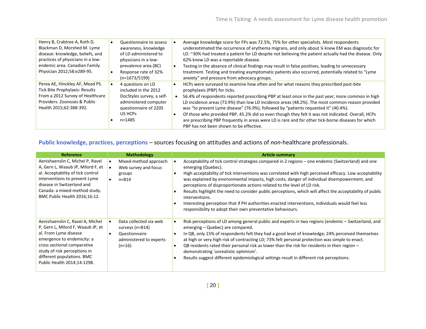| Henry B, Crabtree A, Roth D,<br>Blackman D, Morshed M. Lyme<br>disease: knowledge, beliefs, and<br>practices of physicians in a low-<br>endemic area. Canadian Family<br>Physician 2012;58:e289-95. |           | Questionnaire to assess<br>awareness, knowledge<br>of LD administered to<br>physicians in a low-<br>prevalence area (BC)<br>Response rate of 32%<br>$(n=1673/5199)$ | Average knowledge score for FPs was 72.5%, 75% for other specialists. Most respondents<br>underestimated the occurrence of erythema migrans, and only about % knew EM was diagnostic for<br>LD. ~30% had treated a patient for LD despite not believing the patient actually had the disease. Only<br>62% knew LD was a reportable disease.<br>Testing in the absence of clinical findings may result in false positives, leading to unnecessary<br>treatment. Testing and treating asymptomatic patients also occurred, potentially related to "Lyme<br>anxiety" and pressure from advocacy groups.                                                                         |
|-----------------------------------------------------------------------------------------------------------------------------------------------------------------------------------------------------|-----------|---------------------------------------------------------------------------------------------------------------------------------------------------------------------|------------------------------------------------------------------------------------------------------------------------------------------------------------------------------------------------------------------------------------------------------------------------------------------------------------------------------------------------------------------------------------------------------------------------------------------------------------------------------------------------------------------------------------------------------------------------------------------------------------------------------------------------------------------------------|
| Perea AE, Hinckley AF, Mead PS.<br><b>Tick Bite Prophylaxis: Results</b><br>From a 2012 Survey of Healthcare<br>Providers, Zoonoses & Public<br>Health 2015;62:388-392.                             | $\bullet$ | 4 questions on LD<br>included in the 2012<br>DocStyles survey, a self-<br>administered computer<br>questionnaire of 2205<br>US HCPs<br>$n = 1485$                   | HCPs were surveyed to examine how often and for what reasons they prescribed post-bite<br>prophylaxis (PBP) for ticks.<br>56.4% of respondents reported prescribing PBP at least once in the past year; more common in high<br>LD incidence areas (73.9%) than low LD incidence areas (48.2%). The most common reason provided<br>was "to prevent Lyme disease" (76.9%), followed by "patients requested it" (40.4%).<br>Of those who provided PBP, 45.2% did so even though they felt it was not indicated. Overall, HCPs<br>are prescribing PBP frequently in areas were LD is rare and for other tick-borne diseases for which<br>PBP has not been shown to be effective. |

# **Public knowledge, practices, perceptions** – sources focusing on attitudes and actions of *non*-healthcare professionals.

| <b>Reference</b>                                                                                                                                                                                                                                         | <b>Methodology</b>                                                                                             | <b>Article summary</b>                                                                                                                                                                                                                                                                                                                                                                                                                                                                                                                                                                                                                                                                                          |
|----------------------------------------------------------------------------------------------------------------------------------------------------------------------------------------------------------------------------------------------------------|----------------------------------------------------------------------------------------------------------------|-----------------------------------------------------------------------------------------------------------------------------------------------------------------------------------------------------------------------------------------------------------------------------------------------------------------------------------------------------------------------------------------------------------------------------------------------------------------------------------------------------------------------------------------------------------------------------------------------------------------------------------------------------------------------------------------------------------------|
| Aenishaenslin C, Michel P, Ravel<br>A, Gern L, Waaub JP, Milord F, et<br>al. Acceptability of tick control<br>interventions to prevent Lyme<br>disease in Switzerland and<br>Canada: a mixed-method study.<br>BMC Public Health 2016;16:12.              | Mixed-method approach<br>$\bullet$<br>Web survey and focus<br>groups<br>$n = 814$                              | Acceptability of tick control strategies compared in 2 regions – one endemic (Switzerland) and one<br>emerging (Quebec).<br>High acceptability of tick interventions was correlated with high perceived efficacy. Low acceptability<br>was explained by environmental impacts, high costs, danger of individual disempowerment, and<br>perceptions of disproportionate actions related to the level of LD risk.<br>Results highlight the need to consider public perceptions, which will affect the acceptability of public<br>interventions.<br>Interesting perception that if PH authorities enacted interventions, individuals would feel less<br>responsibility to adopt their own preventative behaviours. |
| Aenishaenslin C, Ravel A, Michel<br>P, Gern L, Milord F, Waaub JP, et<br>al. From Lyme disease<br>emergence to endemicity: a<br>cross sectional comparative<br>study of risk perceptions in<br>different populations. BMC<br>Public Health 2014;14:1298. | Data collected via web<br>$\bullet$<br>surveys (n=814)<br>Questionnaire<br>administered to experts<br>$(n=16)$ | Risk perceptions of LD among general public and experts in two regions (endemic – Switzerland, and<br>emerging – Quebec) are compared.<br>In QB, only 15% of respondents felt they had a good level of knowledge; 24% perceived themselves<br>at high or very high risk of contracting LD; 73% felt personal protection was simple to enact.<br>QB residents rated their personal risk as lower than the risk for residents in their region $-$<br>demonstrating 'unrealistic optimism'.<br>Results suggest different epidemiological settings result in different risk perceptions.                                                                                                                            |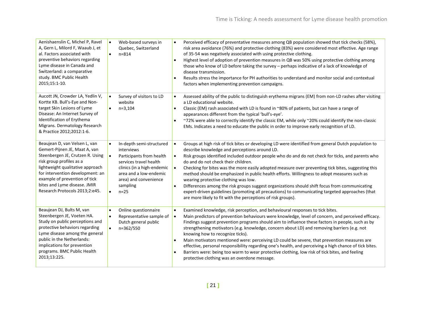| Aenishaenslin C, Michel P, Ravel<br>A, Gern L, Milord F, Waaub J, et<br>al. Factors associated with<br>preventive behaviors regarding<br>Lyme disease in Canada and<br>Switzerland: a comparative<br>study. BMC Public Health<br>2015;15:1-10.                                                            | Web-based surveys in<br>$\bullet$<br>Quebec, Switzerland<br>$n = 814$<br>$\bullet$                                                                                                                                                         | Perceived efficacy of preventative measures among QB population showed that tick checks (58%),<br>$\bullet$<br>risk area avoidance (76%) and protective clothing (83%) were considered most effective. Age range<br>of 35-54 was negatively associated with using protective clothing.<br>Highest level of adoption of prevention measures in QB was 50% using protective clothing among<br>$\bullet$<br>those who know of LD before taking the survey - perhaps indicative of a lack of knowledge of<br>disease transmission.<br>Results stress the importance for PH authorities to understand and monitor social and contextual<br>factors when implementing prevention campaigns.                                                                                                                                                                                 |
|-----------------------------------------------------------------------------------------------------------------------------------------------------------------------------------------------------------------------------------------------------------------------------------------------------------|--------------------------------------------------------------------------------------------------------------------------------------------------------------------------------------------------------------------------------------------|-----------------------------------------------------------------------------------------------------------------------------------------------------------------------------------------------------------------------------------------------------------------------------------------------------------------------------------------------------------------------------------------------------------------------------------------------------------------------------------------------------------------------------------------------------------------------------------------------------------------------------------------------------------------------------------------------------------------------------------------------------------------------------------------------------------------------------------------------------------------------|
| Aucott JN, Crowder LA, Yedlin V,<br>Kortte KB. Bull's-Eye and Non-<br>target Skin Lesions of Lyme<br>Disease: An Internet Survey of<br>Identification of Erythema<br>Migrans. Dermatology Research<br>& Practice 2012;2012:1-6.                                                                           | Survey of visitors to LD<br>website<br>$n=3,104$<br>$\bullet$                                                                                                                                                                              | Assessed ability of the public to distinguish erythema migrans (EM) from non-LD rashes after visiting<br>$\bullet$<br>a LD educational website.<br>Classic (EM) rash associated with LD is found in ~80% of patients, but can have a range of<br>$\bullet$<br>appearances different from the typical 'bull's-eye'.<br>~72% were able to correctly identify the classic EM, while only ~20% could identify the non-classic<br>$\bullet$<br>EMs. Indicates a need to educate the public in order to improve early recognition of LD.                                                                                                                                                                                                                                                                                                                                    |
| Beaujean D, van Velsen L, van<br>Gemert-Pijnen JE, Maat A, van<br>Steenbergen JE, Crutzen R. Using<br>risk group profiles as a<br>lightweight qualitative approach<br>for intervention development: an<br>example of prevention of tick<br>bites and Lyme disease. JMIR<br>Research Protocols 2013;2:e45. | In-depth semi-structured<br>$\bullet$<br>interviews<br>$\bullet$<br>Participants from health<br>services travel health<br>clinics (in a high-endemic<br>area and a low-endemic<br>area) and convenience<br>sampling<br>$n=25$<br>$\bullet$ | Groups at high risk of tick bites or developing LD were identified from general Dutch population to<br>$\bullet$<br>describe knowledge and perceptions around LD.<br>Risk groups identified included outdoor people who do and do not check for ticks, and parents who<br>$\bullet$<br>do and do not check their children.<br>Checking for bites was the more easily adopted measure over preventing tick bites, suggesting this<br>$\bullet$<br>method should be emphasized in public health efforts. Willingness to adopt measures such as<br>wearing protective clothing was low.<br>Differences among the risk groups suggest organizations should shift focus from communicating<br>$\bullet$<br>expert-driven guidelines (promoting all precautions) to communicating targeted approaches (that<br>are more likely to fit with the perceptions of risk groups). |
| Beaujean DJ, Bults M, van<br>Steenbergen JE, Voeten HA.<br>Study on public perceptions and<br>protective behaviors regarding<br>Lyme disease among the general<br>public in the Netherlands:<br>implications for prevention<br>programs. BMC Public Health<br>2013;13:225.                                | Online questionnaire<br>$\bullet$<br>Representative sample of<br>$\bullet$<br>Dutch general public<br>n=362/550<br>$\bullet$                                                                                                               | Examined knowledge, risk perception, and behavioural responses to tick bites.<br>$\bullet$<br>Main predictors of prevention behaviours were knowledge, level of concern, and perceived efficacy.<br>$\bullet$<br>Findings suggest prevention programs should aim to influence these factors in people, such as by<br>strengthening motivators (e.g. knowledge, concern about LD) and removing barriers (e.g. not<br>knowing how to recognize ticks).<br>Main motivators mentioned were: perceiving LD could be severe, that prevention measures are<br>$\bullet$<br>effective, personal responsibility regarding one's health, and perceiving a high chance of tick bites.<br>Barriers were: being too warm to wear protective clothing, low risk of tick bites, and feeling<br>$\bullet$<br>protective clothing was an overdone message.                             |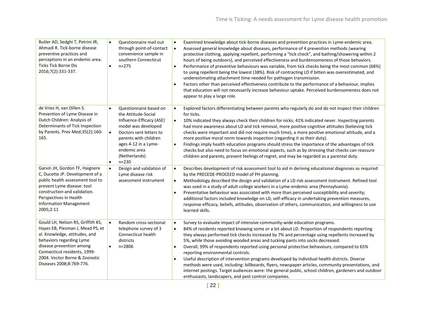| Butler AD, Sedghi T, Petrini JR,<br>Ahmadi R. Tick-borne disease<br>preventive practices and<br>perceptions in an endemic area.<br><b>Ticks Tick Borne Dis</b><br>2016;7(2):331-337.                                                                        | Questionnaire mail out<br>$\bullet$<br>through point-of-contact<br>convenience sample in<br>southern Connecticut<br>$n = 275$<br>$\bullet$                                                                                                                        | Examined knowledge about tick-borne diseases and prevention practices in Lyme-endemic area.<br>$\bullet$<br>Assessed general knowledge about diseases, performance of 4 prevention methods (wearing<br>protective clothing, applying repellent, performing a "tick check", and bathing/showering within 2<br>hours of being outdoors), and perceived effectiveness and burdensomeness of those behaviors.<br>Performance of preventive behaviours was variable, from tick checks being the most common (68%)<br>$\bullet$<br>to using repellent being the lowest (38%). Risk of contracting LD if bitten was overestimated, and<br>underestimating attachment time needed for pathogen transmission.<br>Factors other than perceived effectiveness contribute to the performance of a behaviour, implies<br>$\bullet$<br>that education will not necessarily increase behaviour uptake. Perceived burdensomeness does not<br>appear to play a large role. |
|-------------------------------------------------------------------------------------------------------------------------------------------------------------------------------------------------------------------------------------------------------------|-------------------------------------------------------------------------------------------------------------------------------------------------------------------------------------------------------------------------------------------------------------------|-----------------------------------------------------------------------------------------------------------------------------------------------------------------------------------------------------------------------------------------------------------------------------------------------------------------------------------------------------------------------------------------------------------------------------------------------------------------------------------------------------------------------------------------------------------------------------------------------------------------------------------------------------------------------------------------------------------------------------------------------------------------------------------------------------------------------------------------------------------------------------------------------------------------------------------------------------------|
| de Vries H, van Dillen S.<br>Prevention of Lyme Disease in<br>Dutch Children: Analysis of<br>Determinants of Tick Inspection<br>by Parents. Prev Med;35(2):160-<br>165.                                                                                     | Questionnaire based on<br>$\bullet$<br>the Attitude-Social<br>Influence-Efficacy (ASE)<br>model was developed<br>Doctors sent letters to<br>$\bullet$<br>parents with children<br>ages 4-12 in a Lyme-<br>endemic area<br>(Netherlands)<br>$n = 230$<br>$\bullet$ | Explored factors differentiating between parents who regularly do and do not inspect their children<br>$\bullet$<br>for ticks.<br>$\bullet$<br>10% indicated they always check their children for nicks; 41% indicated never. Inspecting parents<br>had more awareness about LD and tick removal, more positive cognitive attitudes (believing tick<br>checks were important and did not require much time), a more positive emotional attitude, and a<br>more positive moral norm towards inspection (regarding it as their duty).<br>Findings imply health education programs should stress the importance of the advantages of tick<br>checks but also need to focus on emotional aspects, such as by stressing that checks can reassure<br>children and parents, prevent feelings of regret, and may be regarded as a parental duty.                                                                                                                  |
| Garvin JH, Gordon TF, Haignere<br>C, Ducette JP. Development of a<br>public health assessment tool to<br>prevent Lyme disease: tool<br>construction and validation.<br>Perspectives in Health<br><b>Information Management</b><br>2005;2:11                 | Design and validation of<br>$\bullet$<br>Lyme disease risk<br>assessment instrument                                                                                                                                                                               | Describes development of risk assessment tool to aid in deriving educational diagnoses as required<br>$\bullet$<br>by the PRECEDE-PROCEED model of PH planning.<br>Methodology described the design and validation of a LD risk assessment instrument. Refined tool<br>$\bullet$<br>was used in a study of adult college workers in a Lyme-endemic area (Pennsylvania).<br>Preventative behaviour was associated with more than perceived susceptibility and severity;<br>$\bullet$<br>additional factors included knowledge on LD, self-efficacy in undertaking prevention measures,<br>response efficacy, beliefs, attitudes, observation of others, communication, and willingness to use<br>learned skills.                                                                                                                                                                                                                                           |
| Gould LH, Nelson RS, Griffith KS,<br>Hayes EB, Piesman J, Mead PS, et<br>al. Knowledge, attitudes, and<br>behaviors regarding Lyme<br>disease prevention among<br>Connecticut residents, 1999-<br>2004. Vector Borne & Zoonotic<br>Diseases 2008;8:769-776. | Random cross-sectional<br>$\bullet$<br>telephone survey of 3<br>Connecticut health<br>districts<br>$n = 2806$<br>$\bullet$                                                                                                                                        | Survey to evaluate impact of intensive community-wide education programs.<br>$\bullet$<br>84% of residents reported knowing some or a lot about LD. Proportion of respondents reporting<br>$\bullet$<br>they always performed tick checks increased by 7% and percentage using repellents increased by<br>5%, while those avoiding wooded areas and tucking pants into socks decreased.<br>Overall, 99% of respondents reported using personal protective behaviours, compared to 65%<br>$\bullet$<br>reporting environmental controls.<br>Useful description of intervention programs developed by individual health districts. Diverse<br>$\bullet$<br>methods were used, including: billboards, flyers, newspaper articles, community presentations, and<br>internet postings. Target audiences were: the general public, school children, gardeners and outdoor<br>enthusiasts, landscapers, and pest control companies.                              |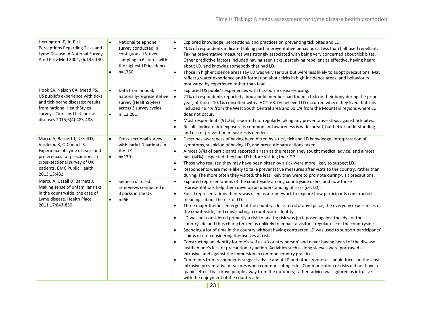| Herrington JE, Jr. Risk<br>Perceptions Regarding Ticks and<br>Lyme Disease: A National Survey.<br>Am J Prev Med 2004;26:135-140.                                                                              | National telephone<br>$\bullet$<br>survey conducted in<br>contiguous US, over-<br>sampling in 6 states with<br>the highest LD incidence<br>$n = 1750$<br>$\bullet$ | Explored knowledge, perceptions, and practices on preventing tick bites and LD.<br>$\bullet$<br>40% of respondents indicated taking part in preventative behaviours. Less than half used repellant.<br>$\bullet$<br>Taking preventative measures was strongly associated with being very concerned about tick bites.<br>Other predictive factors included having seen ticks, perceiving repellent as effective, having heard<br>about LD, and knowing somebody that had LD.<br>$\bullet$<br>Those in high-incidence areas say LD was very serious but were less likely to adopt precautions. May<br>reflect greater experience and information about ticks in high-incidence areas, and behaviours<br>motivated by experience rather than fear.                                                                                                                                                                                                                                                                                                                                                                                                                                                                                                                                                                                                                                                                                                                                                                                                       |
|---------------------------------------------------------------------------------------------------------------------------------------------------------------------------------------------------------------|--------------------------------------------------------------------------------------------------------------------------------------------------------------------|-------------------------------------------------------------------------------------------------------------------------------------------------------------------------------------------------------------------------------------------------------------------------------------------------------------------------------------------------------------------------------------------------------------------------------------------------------------------------------------------------------------------------------------------------------------------------------------------------------------------------------------------------------------------------------------------------------------------------------------------------------------------------------------------------------------------------------------------------------------------------------------------------------------------------------------------------------------------------------------------------------------------------------------------------------------------------------------------------------------------------------------------------------------------------------------------------------------------------------------------------------------------------------------------------------------------------------------------------------------------------------------------------------------------------------------------------------------------------------------------------------------------------------------------------------|
| Hook SA, Nelson CA, Mead PS.<br>US public's experience with ticks<br>and tick-borne diseases: results<br>from national HealthStyles<br>surveys. Ticks and tick-borne<br>diseases 2015;6(4):483-488.           | Data from annual,<br>$\bullet$<br>nationally-representative<br>survey (HealthStyles)<br>across 3 survey cycles<br>$n=12,281$<br>$\bullet$                          | Explored US public's experiences with tick-borne diseases using.<br>$\bullet$<br>21% of respondents reported a household member had found a tick on their body during the prior<br>$\bullet$<br>year; of those, 10.1% consulted with a HCP. 63.7% believed LD occurred where they lived, but this<br>included 49.4% from the West South Central area and 51.1% from the Mountain regions where LD<br>does not occur.<br>Most respondents (51.2%) reported not regularly taking any preventative steps against tick bites.<br>$\bullet$<br>Results indicate tick exposure is common and awareness is widespread, but better understanding<br>and use of prevention measures is needed.                                                                                                                                                                                                                                                                                                                                                                                                                                                                                                                                                                                                                                                                                                                                                                                                                                                                 |
| Marcu A, Barnett J, Uzzell D,<br>Vasileiou K, O'Connell S.<br>Experience of Lyme disease and<br>preferences for precautions: a<br>cross-sectional survey of UK<br>patients. BMC Public Health<br>2013;13:481. | Cross-sectional survey<br>$\bullet$<br>with early LD patients in<br>the UK<br>$\bullet$<br>$n = 130$                                                               | Describes awareness of having been bitten by a tick, tick and LD knowledge, interpretation of<br>$\bullet$<br>symptoms, suspicion of having LD, and precautionary actions taken.<br>Almost 3/4s of participants reported a rash as the reason they sought medical advice, and almost<br>$\bullet$<br>half (44%) suspected they had LD before visiting their GP.<br>Those who realized they may have been bitten by a tick were more likely to suspect LD.<br>$\bullet$<br>Respondents were more likely to take preventative measures after visits to the country, rather than<br>during. The more often they visited, the less likely they were to promote during-visit precautions.                                                                                                                                                                                                                                                                                                                                                                                                                                                                                                                                                                                                                                                                                                                                                                                                                                                                  |
| Marcu A, Uzzell D, Barnett J.<br>Making sense of unfamiliar risks<br>in the countryside: the case of<br>Lyme disease. Health Place<br>2011;17:843-850.                                                        | Semi-structured<br>$\bullet$<br>interviews conducted in<br>3 parks in the UK<br>$\bullet$<br>$n = 66$                                                              | Explored representations of the countryside among countryside users, and how those<br>$\bullet$<br>representations help them develop an understanding of risks (i.e. LD).<br>Social representations theory was used as a framework to explore how participants constructed<br>$\bullet$<br>meanings about the risk of LD.<br>Three major themes emerged: of the countryside as a restorative place, the everyday experiences of<br>$\bullet$<br>the countryside, and constructing a countryside identity.<br>LD was not considered primarily a risk to health; risk was juxtaposed against the idyll of the<br>$\bullet$<br>countryside and thus characterized as unlikely to impact a visitors' regular use of the countryside.<br>Spending a lot of time in the country without having contracted LD was used to support participants'<br>claims of not considering themselves at risk.<br>Constructing an identity for one's self as a 'country person' and never having heard of the disease<br>$\bullet$<br>justified one's lack of precautionary action. Activities such as long sleeves were portrayed as<br>intrusive, and against the immersion in common country practices.<br>Comments from respondents suggest advice about LD and other zoonoses should focus on the least<br>$\bullet$<br>intrusive preventative measures when communicating risks. Communication of risks did not have a<br>'panic' effect that drove people away from the outdoors; rather, advice was ignored as intrusive<br>with the enjoyment of the countryside. |

**[** 23 **]**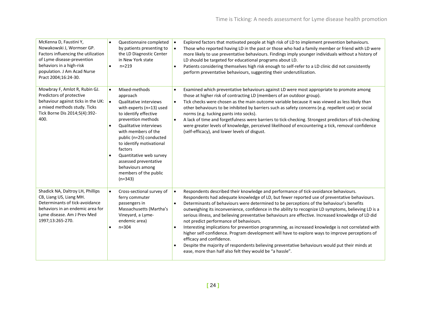| McKenna D, Faustini Y,<br>Nowakowski J, Wormser GP.<br>Factors influencing the utilization<br>of Lyme disease-prevention<br>behaviors in a high-risk<br>population. J Am Acad Nurse<br>Pract 2004;16:24-30. | $\bullet$<br>Questionnaire completed<br>by patients presenting to<br>the LD Diagnostic Center<br>in New York state<br>$n = 219$<br>$\bullet$                                                                                                                                                                                                                                                           | Explored factors that motivated people at high risk of LD to implement prevention behaviours.<br>$\bullet$<br>Those who reported having LD in the past or those who had a family member or friend with LD were<br>$\bullet$<br>more likely to use preventative behaviours. Findings imply younger individuals without a history of<br>LD should be targeted for educational programs about LD.<br>Patients considering themselves high risk enough to self-refer to a LD clinic did not consistently<br>$\bullet$<br>perform preventative behaviours, suggesting their underutilization.                                                                                                                                                                                                                                                                                                                                                                                           |
|-------------------------------------------------------------------------------------------------------------------------------------------------------------------------------------------------------------|--------------------------------------------------------------------------------------------------------------------------------------------------------------------------------------------------------------------------------------------------------------------------------------------------------------------------------------------------------------------------------------------------------|------------------------------------------------------------------------------------------------------------------------------------------------------------------------------------------------------------------------------------------------------------------------------------------------------------------------------------------------------------------------------------------------------------------------------------------------------------------------------------------------------------------------------------------------------------------------------------------------------------------------------------------------------------------------------------------------------------------------------------------------------------------------------------------------------------------------------------------------------------------------------------------------------------------------------------------------------------------------------------|
| Mowbray F, Amlot R, Rubin GJ.<br>Predictors of protective<br>behaviour against ticks in the UK:<br>a mixed methods study. Ticks<br>Tick Borne Dis 2014;5(4):392-<br>400.                                    | Mixed-methods<br>$\bullet$<br>approach<br>Qualitative interviews<br>$\bullet$<br>with experts (n=13) used<br>to identify effective<br>prevention methods<br>Qualitative interviews<br>$\bullet$<br>with members of the<br>public (n=25) conducted<br>to identify motivational<br>factors<br>Quantitative web survey<br>assessed preventative<br>behaviours among<br>members of the public<br>$(n=343)$ | Examined which preventative behaviours against LD were most appropriate to promote among<br>$\bullet$<br>those at higher risk of contracting LD (members of an outdoor group).<br>Tick checks were chosen as the main outcome variable because it was viewed as less likely than<br>$\bullet$<br>other behaviours to be inhibited by barriers such as safety concerns (e.g. repellent use) or social<br>norms (e.g. tucking pants into socks).<br>A lack of time and forgetfulness were barriers to tick-checking. Strongest predictors of tick-checking<br>$\bullet$<br>were greater levels of knowledge, perceived likelihood of encountering a tick, removal confidence<br>(self-efficacy), and lower levels of disgust.                                                                                                                                                                                                                                                        |
| Shadick NA, Daltroy LH, Phillips<br>CB, Liang US, Liang MH.<br>Determinants of tick-avoidance<br>behaviors in an endemic area for<br>Lyme disease. Am J Prev Med<br>1997;13:265-270.                        | Cross-sectional survey of<br>$\bullet$<br>ferry commuter<br>passengers in<br>Massachusetts (Martha's<br>Vineyard, a Lyme-<br>endemic area)<br>$n = 304$                                                                                                                                                                                                                                                | Respondents described their knowledge and performance of tick-avoidance behaviours.<br>$\bullet$<br>Respondents had adequate knowledge of LD, but fewer reported use of preventative behaviours.<br>Determinants of behaviours were determined to be perceptions of the behaviour's benefits<br>$\bullet$<br>outweighing its inconvenience, confidence in the ability to recognize LD symptoms, believing LD is a<br>serious illness, and believing preventative behaviours are effective. Increased knowledge of LD did<br>not predict performance of behaviours.<br>Interesting implications for prevention programming, as increased knowledge is not correlated with<br>higher self-confidence. Program development will have to explore ways to improve perceptions of<br>efficacy and confidence.<br>Despite the majority of respondents believing preventative behaviours would put their minds at<br>$\bullet$<br>ease, more than half also felt they would be "a hassle". |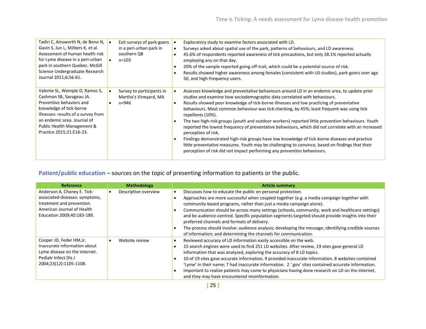| Tadiri C, Ainsworth N, de Bono N,<br>Gavin S, Jun L, Milbers K, et al.<br>Assessment of human health risk<br>for Lyme disease in a peri-urban<br>park in southern Quebec. McGill<br>Science Undergraduate Research<br>Journal 2011;6:56-61.       | Exit surveys of park-goers<br>in a peri-urban park in<br>southern QB<br>$n = 103$ | Exploratory study to examine factors associated with LD.<br>Surveys asked about spatial use of the park, patterns of behaviours, and LD awareness.<br>45.6% of respondents reported awareness of tick precautions, but only 28.1% reported actually<br>$\bullet$<br>employing any on that day.<br>20% of the sample reported going off-trail, which could be a potential source of risk.<br>Results showed higher awareness among females (consistent with US studies), park-goers over age<br>50, and high-frequency users.                                                                                                                                                                                                                                                                                                                                                                                |
|---------------------------------------------------------------------------------------------------------------------------------------------------------------------------------------------------------------------------------------------------|-----------------------------------------------------------------------------------|-------------------------------------------------------------------------------------------------------------------------------------------------------------------------------------------------------------------------------------------------------------------------------------------------------------------------------------------------------------------------------------------------------------------------------------------------------------------------------------------------------------------------------------------------------------------------------------------------------------------------------------------------------------------------------------------------------------------------------------------------------------------------------------------------------------------------------------------------------------------------------------------------------------|
| Valente SL, Wemple D, Ramos S,<br>Cashman SB, Savageau JA.<br>Preventive behaviors and<br>knowledge of tick-borne<br>illnesses: results of a survey from<br>an endemic area. Journal of<br>Public Health Management &<br>Practice 2015;21:E16-23. | Survey to participants in<br>Martha's Vineyard, MA<br>$n = 946$                   | Assesses knowledge and preventative behaviours around LD in an endemic area, to update prior<br>studies and examine how sociodemographic data correlated with behaviours.<br>Results showed poor knowledge of tick-borne illnesses and low practicing of preventative<br>behaviours. Most common behaviour was tick checking, by 45%; least frequent was using tick<br>repellents (10%).<br>The two high-risk groups (youth and outdoor workers) reported little prevention behaviours. Youth<br>reported the lowest frequency of preventative behaviours, which did not correlate with an increased<br>perception of risk.<br>Findings demonstrated high-risk groups have low knowledge of tick-borne diseases and practice<br>little preventative measures. Youth may be challenging to convince, based on findings that their<br>perception of risk did not impact performing any prevention behaviours. |

# Patient/public education – sources on the topic of presenting information to patients or the public.

| Reference                      | <b>Methodology</b>   | <b>Article summary</b>                                                                              |
|--------------------------------|----------------------|-----------------------------------------------------------------------------------------------------|
| Anderson A, Chaney E. Tick-    | Descriptive overview | Discusses how to educate the public on personal protection.                                         |
| associated diseases: symptoms, |                      | Approaches are more successful when coupled together (e.g. a media campaign together with           |
| treatment and prevention.      |                      | community-based programs, rather than just a media campaign alone).                                 |
| American Journal of Health     |                      | Communication should be across many settings (schools, community, work and healthcare settings)     |
| Education 2009;40:183-189.     |                      | and be audience-centred. Specific population segments targeted should provide insights into their   |
|                                |                      | preferred channels and formats of delivery.                                                         |
|                                |                      | The process should involve: audience analysis; developing the message; identifying credible sources |
|                                |                      | of information; and determining the channels for communication.                                     |
| Cooper JD, Feder HM, Jr.       | Website review       | Reviewed accuracy of LD information easily accessible on the web.                                   |
| Inaccurate information about   |                      | 15 search engines were used to find 251 LD websites. After review, 19 sites gave general LD         |
| Lyme disease on the internet.  |                      | information that was analyzed, exploring the accuracy of 8 LD topics.                               |
| Pediatr Infect Dis J           |                      | 10 of 19 sites gave accurate information, 9 provided inaccurate information. 8 websites contained   |
| 2004;23(12):1105-1108.         |                      | 'Lyme' in their name; 7 had inaccurate information. 2 '.gov' sites contained accurate information.  |
|                                |                      | Important to realize patients may come to physicians having done research on LD on the internet,    |
|                                |                      | and they may have encountered misinformation.                                                       |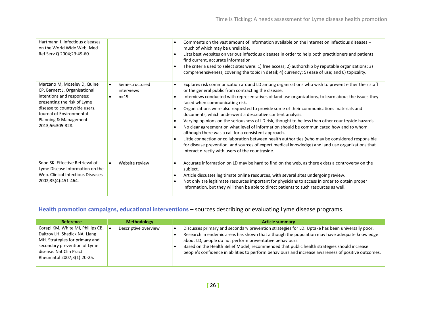| Hartmann J. Infectious diseases<br>on the World Wide Web. Med<br>Ref Serv Q 2004;23:49-60.                                                                                                                                         |                                                                     | Comments on the vast amount of information available on the internet on infectious diseases –<br>much of which may be unreliable.<br>Lists best websites on various infectious diseases in order to help both practitioners and patients<br>find current, accurate information.<br>The criteria used to select sites were: 1) free access; 2) authorship by reputable organizations; 3)<br>comprehensiveness, covering the topic in detail; 4) currency; 5) ease of use; and 6) topicality.                                                                                                                                                                                                                                                                                                                                                                                                                                                                                                                                                     |
|------------------------------------------------------------------------------------------------------------------------------------------------------------------------------------------------------------------------------------|---------------------------------------------------------------------|-------------------------------------------------------------------------------------------------------------------------------------------------------------------------------------------------------------------------------------------------------------------------------------------------------------------------------------------------------------------------------------------------------------------------------------------------------------------------------------------------------------------------------------------------------------------------------------------------------------------------------------------------------------------------------------------------------------------------------------------------------------------------------------------------------------------------------------------------------------------------------------------------------------------------------------------------------------------------------------------------------------------------------------------------|
| Marzano M, Moseley D, Quine<br>CP, Barnett J. Organisational<br>intentions and responses:<br>presenting the risk of Lyme<br>disease to countryside users.<br>Journal of Environmental<br>Planning & Management<br>2013;56:305-328. | Semi-structured<br>$\bullet$<br>interviews<br>$n = 19$<br>$\bullet$ | Explores risk communication around LD among organizations who wish to prevent either their staff<br>$\bullet$<br>or the general public from contracting the disease.<br>Interviews conducted with representatives of land use organizations, to learn about the issues they<br>faced when communicating risk.<br>Organizations were also requested to provide some of their communications materials and<br>$\bullet$<br>documents, which underwent a descriptive content analysis.<br>Varying opinions on the seriousness of LD risk, thought to be less than other countryside hazards.<br>$\bullet$<br>No clear agreement on what level of information should be communicated how and to whom,<br>$\bullet$<br>although there was a call for a consistent approach.<br>Little connection or collaboration between health authorities (who may be considered responsible<br>$\bullet$<br>for disease prevention, and sources of expert medical knowledge) and land use organizations that<br>interact directly with users of the countryside. |
| Sood SK. Effective Retrieval of<br>Lyme Disease Information on the<br>Web. Clinical Infectious Diseases<br>2002;35(4):451-464.                                                                                                     | Website review<br>$\bullet$                                         | Accurate information on LD may be hard to find on the web, as there exists a controversy on the<br>subject.<br>Article discusses legitimate online resources, with several sites undergoing review.<br>$\bullet$<br>Not only are legitimate resources important for physicians to access in order to obtain proper<br>$\bullet$<br>information, but they will then be able to direct patients to such resources as well.                                                                                                                                                                                                                                                                                                                                                                                                                                                                                                                                                                                                                        |

# **Health promotion campaigns, educational interventions** – sources describing or evaluating Lyme disease programs.

| Reference                                                                                                                                                                                     | <b>Methodology</b>   | <b>Article summary</b>                                                                                                                                                                                                                                                                                                                                                                                                                                            |
|-----------------------------------------------------------------------------------------------------------------------------------------------------------------------------------------------|----------------------|-------------------------------------------------------------------------------------------------------------------------------------------------------------------------------------------------------------------------------------------------------------------------------------------------------------------------------------------------------------------------------------------------------------------------------------------------------------------|
| Corapi KM, White MI, Phillips CB,<br>Daltroy LH, Shadick NA, Liang<br>MH. Strategies for primary and<br>secondary prevention of Lyme<br>disease. Nat Clin Pract<br>Rheumatol 2007;3(1):20-25. | Descriptive overview | Discusses primary and secondary prevention strategies for LD. Uptake has been universally poor.<br>Research in endemic areas has shown that although the population may have adequate knowledge<br>about LD, people do not perform preventative behaviours.<br>Based on the Health Belief Model, recommended that public health strategies should increase<br>people's confidence in abilities to perform behaviours and increase awareness of positive outcomes. |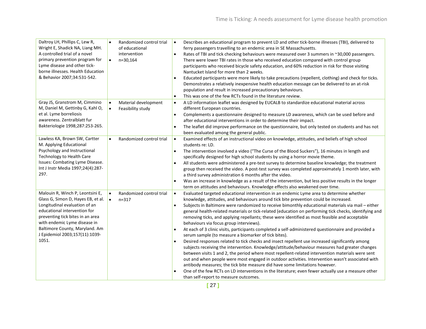| Daltroy LH, Phillips C, Lew R,<br>Wright E, Shadick NA, Liang MH.<br>A controlled trial of a novel<br>primary prevention program for<br>Lyme disease and other tick-<br>borne illnesses. Health Education<br>& Behavior 2007;34:531-542.                                                 | $\bullet$<br>$\bullet$ | Randomized control trial<br>of educational<br>intervention<br>$n=30,164$ | $\bullet$<br>$\bullet$              | Describes an educational program to prevent LD and other tick-borne illnesses (TBI), delivered to<br>ferry passengers travelling to an endemic area in SE Massachusetts.<br>Rates of TBI and tick checking behaviours were measured over 3 summers in ~30,000 passengers.<br>There were lower TBI rates in those who received education compared with control group<br>participants who received bicycle safety education, and 60% reduction in risk for those visiting<br>Nantucket Island for more than 2 weeks.<br>Educated participants were more likely to take precautions (repellent, clothing) and check for ticks.<br>Demonstrates a relatively inexpensive health education message can be delivered to an at-risk<br>population and result in increased precautionary behaviours.<br>This was one of the few RCTs found in the literature review.                                                                                                                                                                                                                                                                                                                                                                                                                                                                                            |
|------------------------------------------------------------------------------------------------------------------------------------------------------------------------------------------------------------------------------------------------------------------------------------------|------------------------|--------------------------------------------------------------------------|-------------------------------------|---------------------------------------------------------------------------------------------------------------------------------------------------------------------------------------------------------------------------------------------------------------------------------------------------------------------------------------------------------------------------------------------------------------------------------------------------------------------------------------------------------------------------------------------------------------------------------------------------------------------------------------------------------------------------------------------------------------------------------------------------------------------------------------------------------------------------------------------------------------------------------------------------------------------------------------------------------------------------------------------------------------------------------------------------------------------------------------------------------------------------------------------------------------------------------------------------------------------------------------------------------------------------------------------------------------------------------------------------------|
| Gray JS, Granstrom M, Cimmino<br>M, Daniel M, Gettinby G, Kahl O,<br>et al. Lyme borreliosis<br>awareness. Zentralblatt fur<br>Bakteriologie 1998;287:253-265.                                                                                                                           | $\bullet$<br>$\bullet$ | Material development<br>Feasibility study                                | $\bullet$<br>$\bullet$              | A LD information leaflet was designed by EUCALB to standardize educational material across<br>different European countries.<br>Complements a questionnaire designed to measure LD awareness, which can be used before and<br>after educational interventions in order to determine their impact.<br>The leaflet did improve performance on the questionnaire, but only tested on students and has not<br>been evaluated among the general public.                                                                                                                                                                                                                                                                                                                                                                                                                                                                                                                                                                                                                                                                                                                                                                                                                                                                                                       |
| Lawless KA, Brown SW, Cartter<br>M. Applying Educational<br>Psychology and Instructional<br>Technology to Health Care<br>Issues: Combating Lyme Disease.<br>Int J Instr Media 1997;24(4):287-<br>297.                                                                                    | $\bullet$              | Randomized control trial                                                 | $\bullet$<br>$\bullet$<br>$\bullet$ | Examined effects of an instructional video on knowledge, attitudes, and beliefs of high school<br>students re: LD.<br>The intervention involved a video ("The Curse of the Blood Suckers"), 16 minutes in length and<br>specifically designed for high school students by using a horror movie theme.<br>All students were administered a pre-test survey to determine baseline knowledge; the treatment<br>group then received the video. A post-test survey was completed approximately 1 month later, with<br>a third survey administration 6 months after the video.<br>Was an increase in knowledge as a result of the intervention, but less positive results in the longer<br>term on attitudes and behaviours. Knowledge effects also weakened over time.                                                                                                                                                                                                                                                                                                                                                                                                                                                                                                                                                                                       |
| Malouin R, Winch P, Leontsini E,<br>Glass G, Simon D, Hayes EB, et al.<br>Longitudinal evaluation of an<br>educational intervention for<br>preventing tick bites in an area<br>with endemic Lyme disease in<br>Baltimore County, Maryland. Am<br>J Epidemiol 2003;157(11):1039-<br>1051. | $\bullet$<br>$\bullet$ | Randomized control trial<br>$n = 317$                                    | $\bullet$<br>$\bullet$              | Evaluated targeted educational intervention in an endemic Lyme area to determine whether<br>knowledge, attitudes, and behaviours around tick bite prevention could be increased.<br>Subjects in Baltimore were randomized to receive bimonthly educational materials via mail - either<br>general health-related materials or tick-related (education on performing tick checks, identifying and<br>removing ticks, and applying repellants; these were identified as most feasible and acceptable<br>behaviours via focus group interviews).<br>At each of 3 clinic visits, participants completed a self-administered questionnaire and provided a<br>serum sample (to measure a biomarker of tick bites).<br>Desired responses related to tick checks and insect repellent use increased significantly among<br>subjects receiving the intervention. Knowledge/attitude/behaviour measures had greater changes<br>between visits 1 and 2, the period where most repellent-related intervention materials were sent<br>out and when people were most engaged in outdoor activities. Intervention wasn't associated with<br>antibody measures; the tick bite measure did have some limitations however.<br>One of the few RCTs on LD interventions in the literature; even fewer actually use a measure other<br>than self-report to measure outcomes. |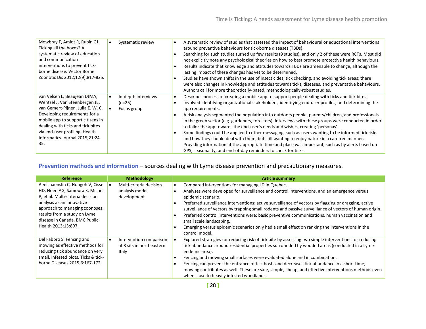| Mowbray F, Amlot R, Rubin GJ.<br>Ticking all the boxes? A<br>systematic review of education<br>and communication<br>interventions to prevent tick-<br>borne disease. Vector Borne<br>Zoonotic Dis 2012;12(9):817-825.                                                                      | Systematic review                            | A systematic review of studies that assessed the impact of behavioural or educational interventions<br>around preventive behaviours for tick-borne diseases (TBDs).<br>Searching for such studies turned up few results (9 studies), and only 2 of these were RCTs. Most did<br>not explicitly note any psychological theories on how to best promote protective health behaviours.<br>Results indicate that knowledge and attitudes towards TBDs are amenable to change, although the<br>lasting impact of these changes has yet to be determined.<br>Studies have shown shifts in the use of insecticides, tick checking, and avoiding tick areas; there<br>were also changes in knowledge and attitudes towards ticks, diseases, and preventative behaviours.<br>Authors call for more theoretically-based, methodologically-robust studies.                                                            |
|--------------------------------------------------------------------------------------------------------------------------------------------------------------------------------------------------------------------------------------------------------------------------------------------|----------------------------------------------|------------------------------------------------------------------------------------------------------------------------------------------------------------------------------------------------------------------------------------------------------------------------------------------------------------------------------------------------------------------------------------------------------------------------------------------------------------------------------------------------------------------------------------------------------------------------------------------------------------------------------------------------------------------------------------------------------------------------------------------------------------------------------------------------------------------------------------------------------------------------------------------------------------|
| van Velsen L, Beaujean DJMA,<br>Wentzel J, Van Steenbergen JE,<br>van Gemert-Pijnen, Julia E. W. C.<br>Developing requirements for a<br>mobile app to support citizens in<br>dealing with ticks and tick bites<br>via end-user profiling. Health<br>Informatics Journal 2015;21:24-<br>35. | In-depth interviews<br>(n=25)<br>Focus group | Describes process of creating a mobile app to support people dealing with ticks and tick bites.<br>Involved identifying organizational stakeholders, identifying end-user profiles, and determining the<br>app requirements.<br>A risk analysis segmented the population into outdoors people, parents/children, and professionals<br>in the green sector (e.g. gardeners, foresters). Interviews with these groups were conducted in order<br>to tailor the app towards the end-user's needs and wishes, creating 'personas'.<br>Some findings could be applied to other messaging, such as users wanting to be informed tick risks<br>and how they should deal with them, but still wanting to enjoy nature in a carefree manner.<br>Providing information at the appropriate time and place was important, such as by alerts based on<br>GPS, seasonality, and end-of-day reminders to check for ticks. |

### **Prevention methods and information** – sources dealing with Lyme disease prevention and precautionary measures.

| <b>Reference</b>                                                                                                                                                                                                                                               | <b>Methodology</b>                                            | <b>Article summary</b>                                                                                                                                                                                                                                                                                                                                                                                                                                                                                                                                                                                                                   |
|----------------------------------------------------------------------------------------------------------------------------------------------------------------------------------------------------------------------------------------------------------------|---------------------------------------------------------------|------------------------------------------------------------------------------------------------------------------------------------------------------------------------------------------------------------------------------------------------------------------------------------------------------------------------------------------------------------------------------------------------------------------------------------------------------------------------------------------------------------------------------------------------------------------------------------------------------------------------------------------|
| Aenishaenslin C, Hongoh V, Cisse<br>HD, Hoen AG, Samoura K, Michel<br>P, et al. Multi-criteria decision<br>analysis as an innovative<br>approach to managing zoonoses:<br>results from a study on Lyme<br>disease in Canada. BMC Public<br>Health 2013;13:897. | Multi-criteria decision<br>analysis model<br>development      | Compared interventions for managing LD in Quebec.<br>Analyses were developed for surveillance and control interventions, and an emergence versus<br>epidemic scenario.<br>Preferred surveillance interventions: active surveillance of vectors by flagging or dragging, active<br>surveillance of vectors by trapping small rodents and passive surveillance of vectors of human origin.<br>Preferred control interventions were: basic preventive communications, human vaccination and<br>small scale landscaping.<br>Emerging versus epidemic scenarios only had a small effect on ranking the interventions in the<br>control model. |
| Del Fabbro S. Fencing and<br>mowing as effective methods for<br>reducing tick abundance on very<br>small, infested plots. Ticks & tick-<br>borne Diseases 2015;6:167-172.                                                                                      | Intervention comparison<br>at 3 sits in northeastern<br>Italy | Explored strategies for reducing risk of tick bite by assessing two simple interventions for reducing<br>tick abundance around residential properties surrounded by wooded areas (conducted in a Lyme-<br>endemic area).<br>Fencing and mowing small surfaces were evaluated alone and in combination.<br>Fencing can prevent the entrance of tick hosts and decreases tick abundance in a short time;<br>mowing contributes as well. These are safe, simple, cheap, and effective interventions methods even<br>when close to heavily infested woodlands.                                                                               |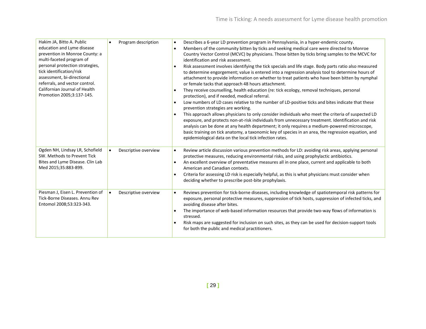| Hakim JA, Bitto A. Public<br>education and Lyme disease<br>prevention in Monroe County: a<br>multi-faceted program of<br>personal protection strategies,<br>tick identification/risk<br>assessment, bi-directional<br>referrals, and vector control.<br>Californian Journal of Health<br>Promotion 2005;3:137-145. | Program description<br>$\bullet$  | Describes a 6-year LD prevention program in Pennsylvania, in a hyper-endemic county.<br>$\bullet$<br>Members of the community bitten by ticks and seeking medical care were directed to Monroe<br>Country Vector Control (MCVC) by physicians. Those bitten by ticks bring samples to the MCVC for<br>identification and risk assessment.<br>Risk assessment involves identifying the tick specials and life stage. Body parts ratio also measured<br>$\bullet$<br>to determine engorgement; value is entered into a regression analysis tool to determine hours of<br>attachment to provide information on whether to treat patients who have been bitten by nymphal<br>or female tacks that approach 48 hours attachment.<br>They receive counselling, health education (re: tick ecology, removal techniques, personal<br>protection), and if needed, medical referral.<br>Low numbers of LD cases relative to the number of LD-positive ticks and bites indicate that these<br>$\bullet$<br>prevention strategies are working.<br>This approach allows physicians to only consider individuals who meet the criteria of suspected LD<br>exposure, and protects non-at-risk individuals from unnecessary treatment. Identification and risk<br>analysis can be done at any health department; it only requires a medium-powered microscope,<br>basic training on tick anatomy, a taxonomic key of species in an area, the regression equation, and<br>epidemiological data on the local tick infection rates. |
|--------------------------------------------------------------------------------------------------------------------------------------------------------------------------------------------------------------------------------------------------------------------------------------------------------------------|-----------------------------------|------------------------------------------------------------------------------------------------------------------------------------------------------------------------------------------------------------------------------------------------------------------------------------------------------------------------------------------------------------------------------------------------------------------------------------------------------------------------------------------------------------------------------------------------------------------------------------------------------------------------------------------------------------------------------------------------------------------------------------------------------------------------------------------------------------------------------------------------------------------------------------------------------------------------------------------------------------------------------------------------------------------------------------------------------------------------------------------------------------------------------------------------------------------------------------------------------------------------------------------------------------------------------------------------------------------------------------------------------------------------------------------------------------------------------------------------------------------------------------------------------------------|
| Ogden NH, Lindsay LR, Schofield<br>SW. Methods to Prevent Tick<br>Bites and Lyme Disease. Clin Lab<br>Med 2015;35:883-899.                                                                                                                                                                                         | Descriptive overview<br>$\bullet$ | Review article discussion various prevention methods for LD: avoiding risk areas, applying personal<br>$\bullet$<br>protective measures, reducing environmental risks, and using prophylactic antibiotics.<br>An excellent overview of preventative measures all in one place, current and applicable to both<br>American and Canadian contexts.<br>Criteria for assessing LD risk is especially helpful, as this is what physicians must consider when<br>$\bullet$<br>deciding whether to prescribe post-bite prophylaxis.                                                                                                                                                                                                                                                                                                                                                                                                                                                                                                                                                                                                                                                                                                                                                                                                                                                                                                                                                                                     |
| Piesman J, Eisen L. Prevention of<br>Tick-Borne Diseases. Annu Rev<br>Entomol 2008;53:323-343.                                                                                                                                                                                                                     | Descriptive overview<br>$\bullet$ | Reviews prevention for tick-borne diseases, including knowledge of spatiotemporal risk patterns for<br>$\bullet$<br>exposure, personal protective measures, suppression of tick hosts, suppression of infected ticks, and<br>avoiding disease after bites.<br>The importance of web-based information resources that provide two-way flows of information is<br>stressed.<br>Risk maps are suggested for inclusion on such sites, as they can be used for decision-support tools<br>for both the public and medical practitioners.                                                                                                                                                                                                                                                                                                                                                                                                                                                                                                                                                                                                                                                                                                                                                                                                                                                                                                                                                                               |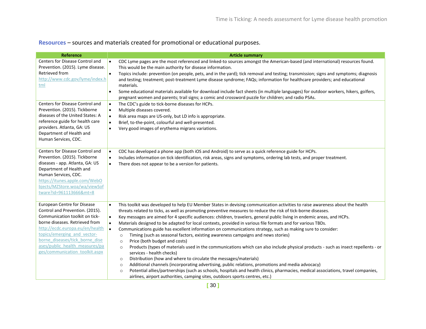**Resources** – sources and materials created for promotional or educational purposes.

| Reference                                                                                                                                                                                                                                                                                                  | <b>Article summary</b>                                                                                                                                                                                                                                                                                                                                                                                                                                                                                                                                                                                                                                                                                                                                                                                                                                                                                                                                                                                                                                                                                                                                                           |
|------------------------------------------------------------------------------------------------------------------------------------------------------------------------------------------------------------------------------------------------------------------------------------------------------------|----------------------------------------------------------------------------------------------------------------------------------------------------------------------------------------------------------------------------------------------------------------------------------------------------------------------------------------------------------------------------------------------------------------------------------------------------------------------------------------------------------------------------------------------------------------------------------------------------------------------------------------------------------------------------------------------------------------------------------------------------------------------------------------------------------------------------------------------------------------------------------------------------------------------------------------------------------------------------------------------------------------------------------------------------------------------------------------------------------------------------------------------------------------------------------|
| Centers for Disease Control and<br>Prevention. (2015). Lyme disease.<br>Retrieved from<br>http://www.cdc.gov/lyme/index.h<br>tml<br>Centers for Disease Control and<br>Prevention. (2015). Tickborne                                                                                                       | $\bullet$<br>CDC Lyme pages are the most referenced and linked-to sources amongst the American-based (and international) resources found.<br>This would be the main authority for disease information.<br>$\bullet$<br>Topics include: prevention (on people, pets, and in the yard); tick removal and testing; transmission; signs and symptoms; diagnosis<br>and testing; treatment; post-treatment Lyme disease syndrome; FAQs; information for healthcare providers; and educational<br>materials.<br>Some educational materials available for download include fact sheets (in multiple languages) for outdoor workers, hikers, golfers,<br>$\bullet$<br>pregnant women and parents; trail signs; a comic and crossword puzzle for children; and radio PSAs.<br>The CDC's guide to tick-borne diseases for HCPs.<br>$\bullet$<br>Multiple diseases covered.<br>$\bullet$                                                                                                                                                                                                                                                                                                    |
| diseases of the United States: A<br>reference guide for health care<br>providers. Atlanta, GA: US<br>Department of Health and<br>Human Services, CDC.                                                                                                                                                      | Risk area maps are US-only, but LD info is appropriate.<br>$\bullet$<br>Brief, to-the-point, colourful and well-presented.<br>$\bullet$<br>Very good images of erythema migrans variations.<br>$\bullet$                                                                                                                                                                                                                                                                                                                                                                                                                                                                                                                                                                                                                                                                                                                                                                                                                                                                                                                                                                         |
| Centers for Disease Control and<br>Prevention. (2015). Tickborne<br>diseases - app. Atlanta, GA: US<br>Department of Health and<br>Human Services, CDC.<br>https://itunes.apple.com/WebO<br>bjects/MZStore.woa/wa/viewSof<br>tware?id=961113666&mt=8                                                       | CDC has developed a phone app (both iOS and Android) to serve as a quick reference guide for HCPs.<br>$\bullet$<br>Includes information on tick identification, risk areas, signs and symptoms, ordering lab tests, and proper treatment.<br>$\bullet$<br>There does not appear to be a version for patients.<br>$\bullet$                                                                                                                                                                                                                                                                                                                                                                                                                                                                                                                                                                                                                                                                                                                                                                                                                                                       |
| European Centre for Disease<br>Control and Prevention. (2015).<br>Communication toolkit on tick-<br>borne diseases. Retrieved from<br>http://ecdc.europa.eu/en/health<br>topics/emerging and vector-<br>borne diseases/tick borne dise<br>ases/public health measures/pa<br>ges/communication toolkit.aspx | This toolkit was developed to help EU Member States in devising communication activities to raise awareness about the health<br>$\bullet$<br>threats related to ticks, as well as promoting preventive measures to reduce the risk of tick-borne diseases.<br>Key messages are aimed for 4 specific audiences: children, travelers, general public living in endemic areas, and HCPs.<br>$\bullet$<br>Materials designed to be adapted for local contexts, provided in various file formats and for various TBDs.<br>$\bullet$<br>Communications guide has excellent information on communications strategy, such as making sure to consider:<br>$\bullet$<br>Timing (such as seasonal factors, existing awareness campaigns and news stories)<br>$\circ$<br>Price (both budget and costs)<br>$\circ$<br>Products (types of materials used in the communications which can also include physical products - such as insect repellents - or<br>$\circ$<br>services - health checks)<br>Distribution (how and where to circulate the messages/materials)<br>$\circ$<br>Additional channels (incorporating advertising, public relations, promotions and media advocacy)<br>$\circ$ |
|                                                                                                                                                                                                                                                                                                            | Potential allies/partnerships (such as schools, hospitals and health clinics, pharmacies, medical associations, travel companies,<br>$\circ$<br>airlines, airport authorities, camping sites, outdoors sports centres, etc.)                                                                                                                                                                                                                                                                                                                                                                                                                                                                                                                                                                                                                                                                                                                                                                                                                                                                                                                                                     |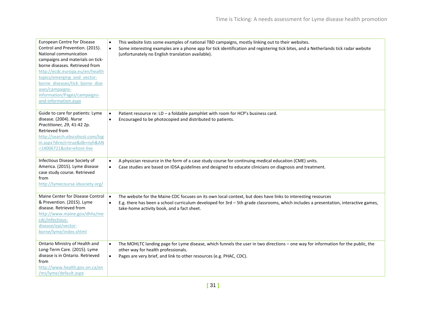| European Centre for Disease<br>Control and Prevention. (2015).<br>National communication<br>campaigns and materials on tick-<br>borne diseases. Retrieved from<br>http://ecdc.europa.eu/en/health<br>topics/emerging and vector-<br>borne diseases/tick borne dise<br>ases/campaigns-<br>information/Pages/campaigns-<br>and-information.aspx | This website lists some examples of national TBD campaigns, mostly linking out to their websites.<br>$\bullet$<br>Some interesting examples are a phone app for tick identification and registering tick bites, and a Netherlands tick radar website<br>$\bullet$<br>(unfortunately no English translation available).      |
|-----------------------------------------------------------------------------------------------------------------------------------------------------------------------------------------------------------------------------------------------------------------------------------------------------------------------------------------------|-----------------------------------------------------------------------------------------------------------------------------------------------------------------------------------------------------------------------------------------------------------------------------------------------------------------------------|
| Guide to care for patients: Lyme<br>disease. (2004). Nurse<br>Practitioner, 29, 41-42 2p.<br>Retrieved from<br>http://search.ebscohost.com/log<br>in.aspx?direct=true&db=nyh&AN<br>=14006721&site=ehost-live                                                                                                                                  | Patient resource re: LD - a foldable pamphlet with room for HCP's business card.<br>$\bullet$<br>Encouraged to be photocopied and distributed to patients.<br>$\bullet$                                                                                                                                                     |
| Infectious Disease Society of<br>America. (2015). Lyme disease<br>case study course. Retrieved<br>from<br>http://lymecourse.idsociety.org/                                                                                                                                                                                                    | A physician resource in the form of a case study course for continuing medical education (CME) units.<br>$\bullet$<br>Case studies are based on IDSA guidelines and designed to educate clinicians on diagnosis and treatment.<br>$\bullet$                                                                                 |
| Maine Center for Disease Control<br>& Prevention. (2015). Lyme<br>disease. Retrieved from<br>http://www.maine.gov/dhhs/me<br>cdc/infectious-<br>disease/epi/vector-<br>borne/lyme/index.shtml                                                                                                                                                 | The website for the Maine CDC focuses on its own local context, but does have links to interesting resources<br>$\bullet$<br>E.g. there has been a school curriculum developed for 3rd - 5th grade classrooms, which includes a presentation, interactive games,<br>$\bullet$<br>take-home activity book, and a fact sheet. |
| Ontario Ministry of Health and<br>Long-Term Care. (2015). Lyme<br>disease is in Ontario. Retrieved<br>from<br>http://www.health.gov.on.ca/en<br>/ms/lyme/default.aspx                                                                                                                                                                         | The MOHLTC landing page for Lyme disease, which funnels the user in two directions - one way for information for the public, the<br>$\bullet$<br>other way for health professionals.<br>Pages are very brief, and link to other resources (e.g. PHAC, CDC).<br>$\bullet$                                                    |